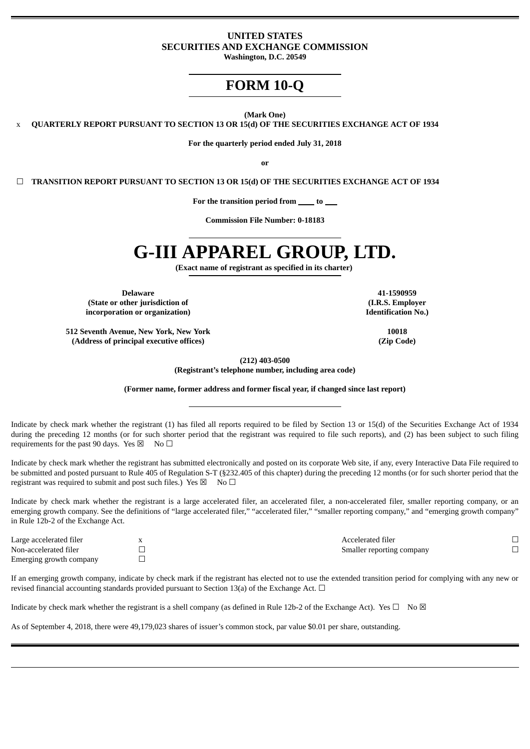#### **UNITED STATES SECURITIES AND EXCHANGE COMMISSION Washington, D.C. 20549**

**FORM 10-Q**

**(Mark One)**

x **QUARTERLY REPORT PURSUANT TO SECTION 13 OR 15(d) OF THE SECURITIES EXCHANGE ACT OF 1934**

**For the quarterly period ended July 31, 2018**

**or**

☐ **TRANSITION REPORT PURSUANT TO SECTION 13 OR 15(d) OF THE SECURITIES EXCHANGE ACT OF 1934**

**For the transition period from to**

**Commission File Number: 0-18183**

# **G-III APPAREL GROUP, LTD.**

**(Exact name of registrant as specified in its charter)**

**Delaware 41-1590959 (State or other jurisdiction of (I.R.S. Employer incorporation or organization) Identification No.)**

**512 Seventh Avenue, New York, New York 10018 (Address of principal executive offices) (Zip Code)**

**(212) 403-0500**

**(Registrant's telephone number, including area code)**

**(Former name, former address and former fiscal year, if changed since last report)**

Indicate by check mark whether the registrant (1) has filed all reports required to be filed by Section 13 or 15(d) of the Securities Exchange Act of 1934 during the preceding 12 months (or for such shorter period that the registrant was required to file such reports), and (2) has been subject to such filing requirements for the past 90 days. Yes  $\boxtimes$  No  $\Box$ 

Indicate by check mark whether the registrant has submitted electronically and posted on its corporate Web site, if any, every Interactive Data File required to be submitted and posted pursuant to Rule 405 of Regulation S-T (§232.405 of this chapter) during the preceding 12 months (or for such shorter period that the registrant was required to submit and post such files.) Yes  $\boxtimes$  No  $\Box$ 

Indicate by check mark whether the registrant is a large accelerated filer, an accelerated filer, a non-accelerated filer, smaller reporting company, or an emerging growth company. See the definitions of "large accelerated filer," "accelerated filer," "smaller reporting company," and "emerging growth company" in Rule 12b-2 of the Exchange Act.

Non-accelerated filer ☐ Smaller reporting company ☐ Emerging growth company  $\Box$ 

Large accelerated filer  $\Box$ <br>
Non-accelerated filer  $\Box$ 

If an emerging growth company, indicate by check mark if the registrant has elected not to use the extended transition period for complying with any new or revised financial accounting standards provided pursuant to Section 13(a) of the Exchange Act.  $\Box$ 

Indicate by check mark whether the registrant is a shell company (as defined in Rule 12b-2 of the Exchange Act). Yes  $\Box$  No  $\boxtimes$ 

As of September 4, 2018, there were 49,179,023 shares of issuer's common stock, par value \$0.01 per share, outstanding.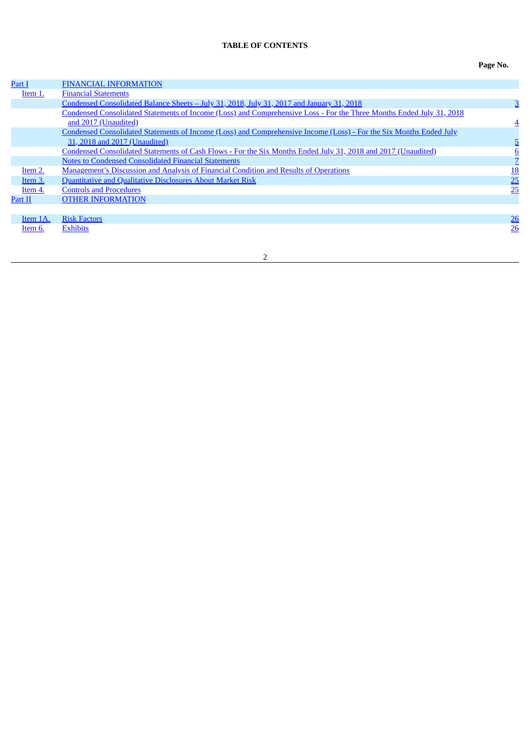### **TABLE OF CONTENTS**

### **Page No.**

| Part I   | <b>FINANCIAL INFORMATION</b>                                                                                         |                 |
|----------|----------------------------------------------------------------------------------------------------------------------|-----------------|
| Item 1.  | <b>Financial Statements</b>                                                                                          |                 |
|          | <u>Condensed Consolidated Balance Sheets - July 31, 2018, July 31, 2017 and January 31, 2018</u>                     | $\overline{3}$  |
|          | Condensed Consolidated Statements of Income (Loss) and Comprehensive Loss - For the Three Months Ended July 31, 2018 |                 |
|          | and 2017 (Unaudited)                                                                                                 | $\overline{4}$  |
|          | Condensed Consolidated Statements of Income (Loss) and Comprehensive Income (Loss) - For the Six Months Ended July   |                 |
|          | 31, 2018 and 2017 (Unaudited)                                                                                        |                 |
|          | Condensed Consolidated Statements of Cash Flows - For the Six Months Ended July 31, 2018 and 2017 (Unaudited)        | $6\overline{6}$ |
|          | <b>Notes to Condensed Consolidated Financial Statements</b>                                                          |                 |
| Item 2.  | <b>Management's Discussion and Analysis of Financial Condition and Results of Operations</b>                         | <u>18</u>       |
| Item 3.  | <b>Quantitative and Qualitative Disclosures About Market Risk</b>                                                    | $\overline{25}$ |
| Item 4.  | <b>Controls and Procedures</b>                                                                                       | 25              |
| Part II  | <b>OTHER INFORMATION</b>                                                                                             |                 |
|          |                                                                                                                      |                 |
| Item 1A. | <b>Risk Factors</b>                                                                                                  | 26              |
| Item 6.  | <b>Exhibits</b>                                                                                                      | 26              |
|          |                                                                                                                      |                 |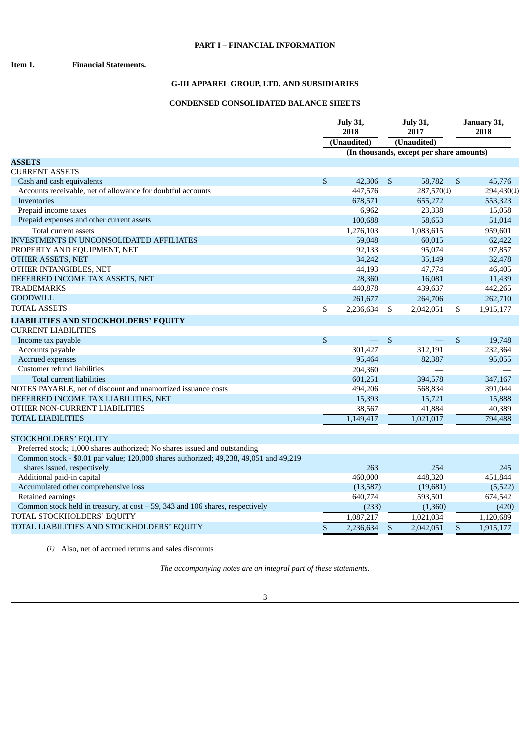### **PART I – FINANCIAL INFORMATION**

#### <span id="page-2-2"></span><span id="page-2-1"></span><span id="page-2-0"></span>**Item 1. Financial Statements.**

## **G-III APPAREL GROUP, LTD. AND SUBSIDIARIES**

### **CONDENSED CONSOLIDATED BALANCE SHEETS**

|                                                                                       | <b>July 31,</b><br>2018                  |           |                | <b>July 31,</b><br>2017 |                | January 31,<br>2018 |  |  |  |
|---------------------------------------------------------------------------------------|------------------------------------------|-----------|----------------|-------------------------|----------------|---------------------|--|--|--|
|                                                                                       | (Unaudited)                              |           |                | (Unaudited)             |                |                     |  |  |  |
|                                                                                       | (In thousands, except per share amounts) |           |                |                         |                |                     |  |  |  |
| <b>ASSETS</b>                                                                         |                                          |           |                |                         |                |                     |  |  |  |
| <b>CURRENT ASSETS</b>                                                                 |                                          |           |                |                         |                |                     |  |  |  |
| Cash and cash equivalents                                                             | $\$$                                     | 42,306    | $\mathfrak{S}$ | 58.782                  | $\mathfrak{S}$ | 45,776              |  |  |  |
| Accounts receivable, net of allowance for doubtful accounts                           |                                          | 447,576   |                | 287,570(1)              |                | 294,430(1)          |  |  |  |
| Inventories                                                                           |                                          | 678,571   |                | 655,272                 |                | 553,323             |  |  |  |
| Prepaid income taxes                                                                  |                                          | 6,962     |                | 23,338                  |                | 15,058              |  |  |  |
| Prepaid expenses and other current assets                                             |                                          | 100,688   |                | 58,653                  |                | 51,014              |  |  |  |
| Total current assets                                                                  |                                          | 1,276,103 |                | 1,083,615               |                | 959,601             |  |  |  |
| <b>INVESTMENTS IN UNCONSOLIDATED AFFILIATES</b>                                       |                                          | 59,048    |                | 60,015                  |                | 62,422              |  |  |  |
| PROPERTY AND EQUIPMENT, NET                                                           |                                          | 92,133    |                | 95,074                  |                | 97,857              |  |  |  |
| <b>OTHER ASSETS, NET</b>                                                              |                                          | 34,242    |                | 35,149                  |                | 32,478              |  |  |  |
| OTHER INTANGIBLES, NET                                                                |                                          | 44,193    |                | 47,774                  |                | 46,405              |  |  |  |
| DEFERRED INCOME TAX ASSETS, NET                                                       |                                          | 28,360    |                | 16,081                  |                | 11,439              |  |  |  |
| <b>TRADEMARKS</b>                                                                     |                                          | 440,878   |                | 439,637                 |                | 442,265             |  |  |  |
| <b>GOODWILL</b>                                                                       |                                          | 261,677   |                | 264,706                 |                | 262,710             |  |  |  |
| <b>TOTAL ASSETS</b>                                                                   | \$                                       | 2,236,634 | \$             | 2,042,051               | \$             | 1,915,177           |  |  |  |
| <b>LIABILITIES AND STOCKHOLDERS' EQUITY</b>                                           |                                          |           |                |                         |                |                     |  |  |  |
| <b>CURRENT LIABILITIES</b>                                                            |                                          |           |                |                         |                |                     |  |  |  |
| Income tax payable                                                                    | \$                                       |           | $\mathfrak{S}$ |                         | \$             | 19,748              |  |  |  |
| Accounts payable                                                                      |                                          | 301,427   |                | 312,191                 |                | 232,364             |  |  |  |
| Accrued expenses                                                                      |                                          | 95,464    |                | 82,387                  |                | 95,055              |  |  |  |
| Customer refund liabilities                                                           |                                          | 204,360   |                |                         |                |                     |  |  |  |
| <b>Total current liabilities</b>                                                      |                                          | 601,251   |                | 394,578                 |                | 347,167             |  |  |  |
| NOTES PAYABLE, net of discount and unamortized issuance costs                         |                                          | 494,206   |                | 568,834                 |                | 391,044             |  |  |  |
| DEFERRED INCOME TAX LIABILITIES, NET                                                  |                                          | 15,393    |                | 15,721                  |                | 15,888              |  |  |  |
| OTHER NON-CURRENT LIABILITIES                                                         |                                          | 38,567    |                | 41,884                  |                | 40,389              |  |  |  |
| <b>TOTAL LIABILITIES</b>                                                              |                                          | 1,149,417 |                | 1,021,017               |                | 794,488             |  |  |  |
|                                                                                       |                                          |           |                |                         |                |                     |  |  |  |
| STOCKHOLDERS' EQUITY                                                                  |                                          |           |                |                         |                |                     |  |  |  |
| Preferred stock; 1,000 shares authorized; No shares issued and outstanding            |                                          |           |                |                         |                |                     |  |  |  |
| Common stock - \$0.01 par value; 120,000 shares authorized; 49,238, 49,051 and 49,219 |                                          |           |                |                         |                |                     |  |  |  |
| shares issued, respectively                                                           |                                          | 263       |                | 254                     |                | 245                 |  |  |  |
| Additional paid-in capital                                                            |                                          | 460,000   |                | 448,320                 |                | 451,844             |  |  |  |
| Accumulated other comprehensive loss                                                  |                                          | (13,587)  |                | (19,681)                |                | (5,522)             |  |  |  |
| Retained earnings                                                                     |                                          | 640,774   |                | 593,501                 |                | 674,542             |  |  |  |
| Common stock held in treasury, at cost - 59, 343 and 106 shares, respectively         |                                          | (233)     |                | (1,360)                 |                | (420)               |  |  |  |
| TOTAL STOCKHOLDERS' EQUITY                                                            |                                          | 1,087,217 |                | 1,021,034               |                | 1,120,689           |  |  |  |
| TOTAL LIABILITIES AND STOCKHOLDERS' EQUITY                                            | \$                                       | 2,236,634 | $\mathbb{S}$   | 2,042,051               | $\mathbb{S}$   | 1,915,177           |  |  |  |

*(1)* Also, net of accrued returns and sales discounts

*The accompanying notes are an integral part of these statements.*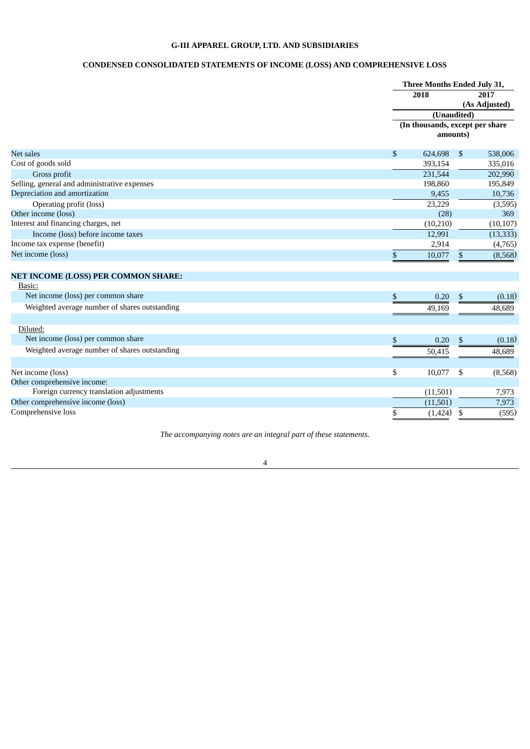### **CONDENSED CONSOLIDATED STATEMENTS OF INCOME (LOSS) AND COMPREHENSIVE LOSS**

<span id="page-3-0"></span>

|                                               |                         | Three Months Ended July 31,                 |  |  |
|-----------------------------------------------|-------------------------|---------------------------------------------|--|--|
|                                               | 2018                    | 2017                                        |  |  |
|                                               |                         | (As Adjusted)                               |  |  |
|                                               |                         | (Unaudited)                                 |  |  |
|                                               |                         | (In thousands, except per share<br>amounts) |  |  |
| Net sales                                     | $\mathbb{S}$<br>624,698 | 538,006<br>\$                               |  |  |
| Cost of goods sold                            | 393,154                 | 335,016                                     |  |  |
| Gross profit                                  | 231,544                 | 202,990                                     |  |  |
| Selling, general and administrative expenses  | 198,860                 | 195,849                                     |  |  |
| Depreciation and amortization                 | 9,455                   | 10,736                                      |  |  |
| Operating profit (loss)                       | 23,229                  | (3,595)                                     |  |  |
| Other income (loss)                           | (28)                    | 369                                         |  |  |
| Interest and financing charges, net           | (10, 210)               | (10, 107)                                   |  |  |
| Income (loss) before income taxes             | 12,991                  | (13, 333)                                   |  |  |
| Income tax expense (benefit)                  | 2,914                   | (4,765)                                     |  |  |
| Net income (loss)                             | \$<br>10,077            | \$<br>(8,568)                               |  |  |
| NET INCOME (LOSS) PER COMMON SHARE:           |                         |                                             |  |  |
| Basic:                                        |                         |                                             |  |  |
| Net income (loss) per common share            | \$<br>0.20              | \$<br>(0.18)                                |  |  |
| Weighted average number of shares outstanding | 49,169                  | 48,689                                      |  |  |
| Diluted:                                      |                         |                                             |  |  |
| Net income (loss) per common share            | \$<br>0.20              | (0.18)<br>\$                                |  |  |
| Weighted average number of shares outstanding | 50,415                  | 48,689                                      |  |  |
| Net income (loss)                             | \$<br>10,077            | -\$<br>(8,568)                              |  |  |
| Other comprehensive income:                   |                         |                                             |  |  |
| Foreign currency translation adjustments      | (11,501)                | 7,973                                       |  |  |
| Other comprehensive income (loss)             | (11,501)                | 7,973                                       |  |  |
| Comprehensive loss                            | \$<br>(1,424)           | (595)<br>\$                                 |  |  |
|                                               |                         |                                             |  |  |

*The accompanying notes are an integral part of these statements.*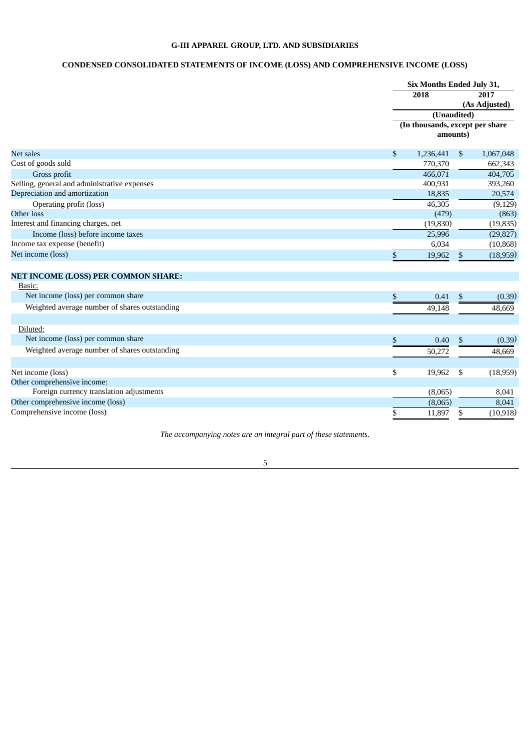## **CONDENSED CONSOLIDATED STATEMENTS OF INCOME (LOSS) AND COMPREHENSIVE INCOME (LOSS)**

<span id="page-4-0"></span>

|                                               | Six Months Ended July 31,       |             |               |  |
|-----------------------------------------------|---------------------------------|-------------|---------------|--|
|                                               | 2018                            |             | 2017          |  |
|                                               |                                 |             | (As Adjusted) |  |
|                                               |                                 | (Unaudited) |               |  |
|                                               | (In thousands, except per share | amounts)    |               |  |
| Net sales                                     | \$<br>1,236,441                 | \$          | 1,067,048     |  |
| Cost of goods sold                            | 770,370                         |             | 662,343       |  |
| Gross profit                                  | 466,071                         |             | 404,705       |  |
| Selling, general and administrative expenses  | 400,931                         |             | 393,260       |  |
| Depreciation and amortization                 | 18,835                          |             | 20,574        |  |
| Operating profit (loss)                       | 46,305                          |             | (9, 129)      |  |
| Other loss                                    | (479)                           |             | (863)         |  |
| Interest and financing charges, net           | (19, 830)                       |             | (19, 835)     |  |
| Income (loss) before income taxes             | 25,996                          |             | (29, 827)     |  |
| Income tax expense (benefit)                  | 6,034                           |             | (10, 868)     |  |
| Net income (loss)                             | \$<br>19,962                    | \$          | (18,959)      |  |
| NET INCOME (LOSS) PER COMMON SHARE:           |                                 |             |               |  |
| Basic:                                        |                                 |             |               |  |
| Net income (loss) per common share            | \$<br>0.41                      | \$          | (0.39)        |  |
| Weighted average number of shares outstanding | 49,148                          |             | 48,669        |  |
| Diluted:                                      |                                 |             |               |  |
| Net income (loss) per common share            | \$<br>0.40                      | \$          | (0.39)        |  |
| Weighted average number of shares outstanding | 50,272                          |             | 48,669        |  |
| Net income (loss)                             | \$<br>19,962                    | \$          | (18,959)      |  |
| Other comprehensive income:                   |                                 |             |               |  |
| Foreign currency translation adjustments      | (8,065)                         |             | 8,041         |  |
| Other comprehensive income (loss)             | (8,065)                         |             | 8,041         |  |
| Comprehensive income (loss)                   | \$<br>11,897                    | \$          | (10, 918)     |  |
|                                               |                                 |             |               |  |

*The accompanying notes are an integral part of these statements.*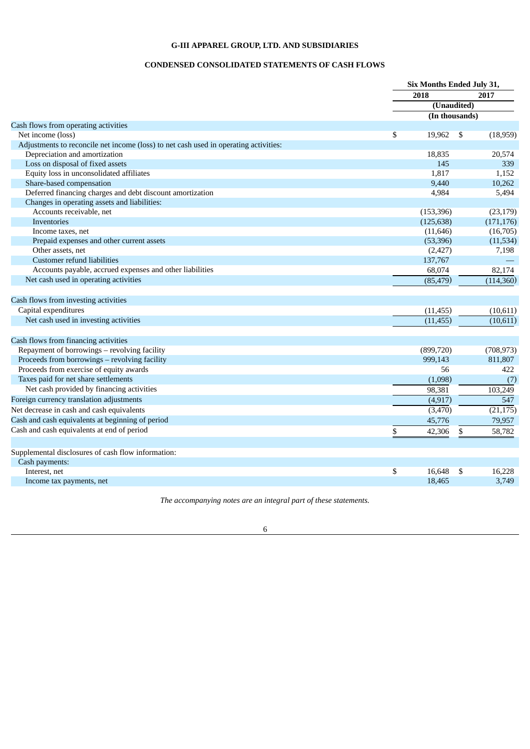### **CONDENSED CONSOLIDATED STATEMENTS OF CASH FLOWS**

<span id="page-5-0"></span>

|                                                                                      | Six Months Ended July 31, |    |            |
|--------------------------------------------------------------------------------------|---------------------------|----|------------|
|                                                                                      | 2018                      |    | 2017       |
|                                                                                      | (Unaudited)               |    |            |
|                                                                                      | (In thousands)            |    |            |
| Cash flows from operating activities                                                 |                           |    |            |
| Net income (loss)                                                                    | \$<br>19,962              | \$ | (18,959)   |
| Adjustments to reconcile net income (loss) to net cash used in operating activities: |                           |    |            |
| Depreciation and amortization                                                        | 18,835                    |    | 20,574     |
| Loss on disposal of fixed assets                                                     | 145                       |    | 339        |
| Equity loss in unconsolidated affiliates                                             | 1,817                     |    | 1,152      |
| Share-based compensation                                                             | 9,440                     |    | 10,262     |
| Deferred financing charges and debt discount amortization                            | 4,984                     |    | 5,494      |
| Changes in operating assets and liabilities:                                         |                           |    |            |
| Accounts receivable, net                                                             | (153, 396)                |    | (23, 179)  |
| Inventories                                                                          | (125, 638)                |    | (171, 176) |
| Income taxes, net                                                                    | (11, 646)                 |    | (16,705)   |
| Prepaid expenses and other current assets                                            | (53, 396)                 |    | (11, 534)  |
| Other assets, net                                                                    | (2, 427)                  |    | 7,198      |
| Customer refund liabilities                                                          | 137,767                   |    |            |
| Accounts payable, accrued expenses and other liabilities                             | 68,074                    |    | 82,174     |
| Net cash used in operating activities                                                | (85, 479)                 |    | (114, 360) |
|                                                                                      |                           |    |            |
| Cash flows from investing activities                                                 |                           |    |            |
| Capital expenditures                                                                 | (11, 455)                 |    | (10,611)   |
| Net cash used in investing activities                                                | (11, 455)                 |    | (10,611)   |
|                                                                                      |                           |    |            |
| Cash flows from financing activities                                                 |                           |    |            |
| Repayment of borrowings - revolving facility                                         | (899, 720)                |    | (708, 973) |
| Proceeds from borrowings - revolving facility                                        | 999.143                   |    | 811,807    |
| Proceeds from exercise of equity awards                                              | 56                        |    | 422        |
| Taxes paid for net share settlements                                                 | (1,098)                   |    | (7)        |
| Net cash provided by financing activities                                            | 98,381                    |    | 103,249    |
| Foreign currency translation adjustments                                             | (4, 917)                  |    | 547        |
| Net decrease in cash and cash equivalents                                            | (3,470)                   |    | (21, 175)  |
| Cash and cash equivalents at beginning of period                                     | 45,776                    |    | 79,957     |
| Cash and cash equivalents at end of period                                           | \$<br>42,306              | \$ | 58,782     |
|                                                                                      |                           |    |            |
| Supplemental disclosures of cash flow information:                                   |                           |    |            |
| Cash payments:                                                                       |                           |    |            |
| Interest, net                                                                        | \$<br>16,648              | S  | 16,228     |
| Income tax payments, net                                                             | 18,465                    |    | 3,749      |

*The accompanying notes are an integral part of these statements.*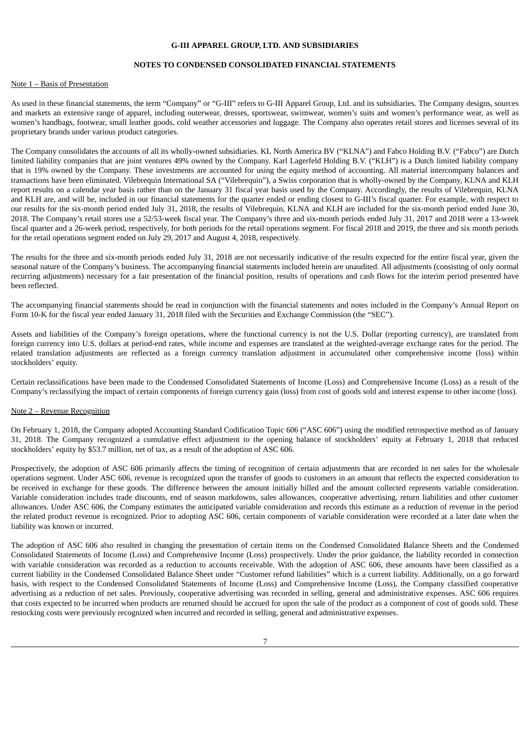#### **NOTES TO CONDENSED CONSOLIDATED FINANCIAL STATEMENTS**

#### <span id="page-6-0"></span>Note 1 – Basis of Presentation

As used in these financial statements, the term "Company" or "G-III" refers to G-III Apparel Group, Ltd. and its subsidiaries. The Company designs, sources and markets an extensive range of apparel, including outerwear, dresses, sportswear, swimwear, women's suits and women's performance wear, as well as women's handbags, footwear, small leather goods, cold weather accessories and luggage. The Company also operates retail stores and licenses several of its proprietary brands under various product categories.

The Company consolidates the accounts of all its wholly-owned subsidiaries. KL North America BV ("KLNA") and Fabco Holding B.V. ("Fabco") are Dutch limited liability companies that are joint ventures 49% owned by the Company. Karl Lagerfeld Holding B.V. ("KLH") is a Dutch limited liability company that is 19% owned by the Company. These investments are accounted for using the equity method of accounting. All material intercompany balances and transactions have been eliminated. Vilebrequin International SA ("Vilebrequin"), a Swiss corporation that is wholly-owned by the Company, KLNA and KLH report results on a calendar year basis rather than on the January 31 fiscal year basis used by the Company. Accordingly, the results of Vilebrequin, KLNA and KLH are, and will be, included in our financial statements for the quarter ended or ending closest to G-III's fiscal quarter. For example, with respect to our results for the six-month period ended July 31, 2018, the results of Vilebrequin, KLNA and KLH are included for the six-month period ended June 30, 2018. The Company's retail stores use a 52/53-week fiscal year. The Company's three and six-month periods ended July 31, 2017 and 2018 were a 13-week fiscal quarter and a 26-week period, respectively, for both periods for the retail operations segment. For fiscal 2018 and 2019, the three and six month periods for the retail operations segment ended on July 29, 2017 and August 4, 2018, respectively.

The results for the three and six-month periods ended July 31, 2018 are not necessarily indicative of the results expected for the entire fiscal year, given the seasonal nature of the Company's business. The accompanying financial statements included herein are unaudited. All adjustments (consisting of only normal recurring adjustments) necessary for a fair presentation of the financial position, results of operations and cash flows for the interim period presented have been reflected.

The accompanying financial statements should be read in conjunction with the financial statements and notes included in the Company's Annual Report on Form 10-K for the fiscal year ended January 31, 2018 filed with the Securities and Exchange Commission (the "SEC").

Assets and liabilities of the Company's foreign operations, where the functional currency is not the U.S. Dollar (reporting currency), are translated from foreign currency into U.S. dollars at period-end rates, while income and expenses are translated at the weighted-average exchange rates for the period. The related translation adjustments are reflected as a foreign currency translation adjustment in accumulated other comprehensive income (loss) within stockholders' equity.

Certain reclassifications have been made to the Condensed Consolidated Statements of Income (Loss) and Comprehensive Income (Loss) as a result of the Company's reclassifying the impact of certain components of foreign currency gain (loss) from cost of goods sold and interest expense to other income (loss).

#### Note 2 – Revenue Recognition

On February 1, 2018, the Company adopted Accounting Standard Codification Topic 606 ("ASC 606") using the modified retrospective method as of January 31, 2018. The Company recognized a cumulative effect adjustment to the opening balance of stockholders' equity at February 1, 2018 that reduced stockholders' equity by \$53.7 million, net of tax, as a result of the adoption of ASC 606.

Prospectively, the adoption of ASC 606 primarily affects the timing of recognition of certain adjustments that are recorded in net sales for the wholesale operations segment. Under ASC 606, revenue is recognized upon the transfer of goods to customers in an amount that reflects the expected consideration to be received in exchange for these goods. The difference between the amount initially billed and the amount collected represents variable consideration. Variable consideration includes trade discounts, end of season markdowns, sales allowances, cooperative advertising, return liabilities and other customer allowances. Under ASC 606, the Company estimates the anticipated variable consideration and records this estimate as a reduction of revenue in the period the related product revenue is recognized. Prior to adopting ASC 606, certain components of variable consideration were recorded at a later date when the liability was known or incurred.

The adoption of ASC 606 also resulted in changing the presentation of certain items on the Condensed Consolidated Balance Sheets and the Condensed Consolidated Statements of Income (Loss) and Comprehensive Income (Loss) prospectively. Under the prior guidance, the liability recorded in connection with variable consideration was recorded as a reduction to accounts receivable. With the adoption of ASC 606, these amounts have been classified as a current liability in the Condensed Consolidated Balance Sheet under "Customer refund liabilities" which is a current liability. Additionally, on a go forward basis, with respect to the Condensed Consolidated Statements of Income (Loss) and Comprehensive Income (Loss), the Company classified cooperative advertising as a reduction of net sales. Previously, cooperative advertising was recorded in selling, general and administrative expenses. ASC 606 requires that costs expected to be incurred when products are returned should be accrued for upon the sale of the product as a component of cost of goods sold. These restocking costs were previously recognized when incurred and recorded in selling, general and administrative expenses.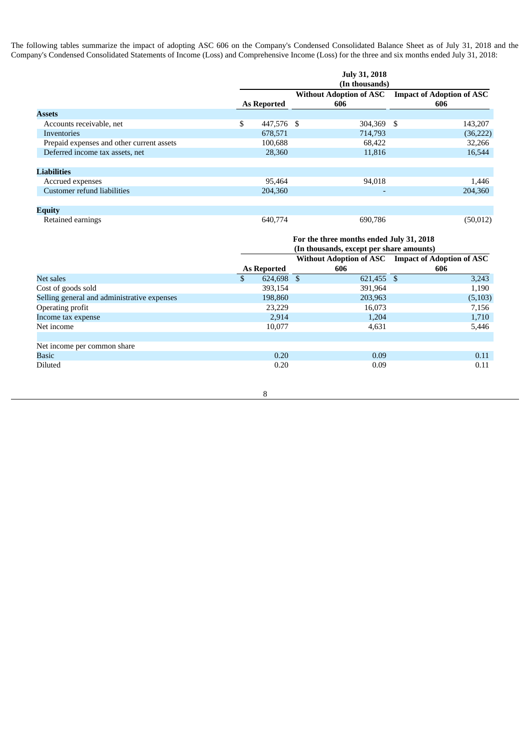The following tables summarize the impact of adopting ASC 606 on the Company's Condensed Consolidated Balance Sheet as of July 31, 2018 and the Company's Condensed Consolidated Statements of Income (Loss) and Comprehensive Income (Loss) for the three and six months ended July 31, 2018:

|                                           | <b>July 31, 2018</b> |                |  |                                |  |                                  |  |     |  |  |  |
|-------------------------------------------|----------------------|----------------|--|--------------------------------|--|----------------------------------|--|-----|--|--|--|
|                                           |                      | (In thousands) |  |                                |  |                                  |  |     |  |  |  |
|                                           |                      |                |  | <b>Without Adoption of ASC</b> |  | <b>Impact of Adoption of ASC</b> |  |     |  |  |  |
|                                           | <b>As Reported</b>   |                |  |                                |  | 606                              |  | 606 |  |  |  |
| <b>Assets</b>                             |                      |                |  |                                |  |                                  |  |     |  |  |  |
| Accounts receivable, net                  | \$                   | 447,576 \$     |  | 304,369 \$                     |  | 143,207                          |  |     |  |  |  |
| <b>Inventories</b>                        |                      | 678,571        |  | 714,793                        |  | (36, 222)                        |  |     |  |  |  |
| Prepaid expenses and other current assets |                      | 100,688        |  | 68,422                         |  | 32,266                           |  |     |  |  |  |
| Deferred income tax assets, net           |                      | 28,360         |  | 11,816                         |  | 16,544                           |  |     |  |  |  |
|                                           |                      |                |  |                                |  |                                  |  |     |  |  |  |
| <b>Liabilities</b>                        |                      |                |  |                                |  |                                  |  |     |  |  |  |
| Accrued expenses                          |                      | 95,464         |  | 94,018                         |  | 1,446                            |  |     |  |  |  |
| <b>Customer refund liabilities</b>        |                      | 204,360        |  |                                |  | 204,360                          |  |     |  |  |  |
|                                           |                      |                |  |                                |  |                                  |  |     |  |  |  |
| Equity                                    |                      |                |  |                                |  |                                  |  |     |  |  |  |
| Retained earnings                         |                      | 640,774        |  | 690,786                        |  | (50, 012)                        |  |     |  |  |  |

|                                             | For the three months ended July 31, 2018<br>(In thousands, except per share amounts) |             |  |            |  |          |  |  |  |  |
|---------------------------------------------|--------------------------------------------------------------------------------------|-------------|--|------------|--|----------|--|--|--|--|
|                                             | Without Adoption of ASC Impact of Adoption of ASC                                    |             |  |            |  |          |  |  |  |  |
|                                             |                                                                                      | As Reported |  | 606        |  | 606      |  |  |  |  |
| Net sales                                   | \$                                                                                   | 624,698 \$  |  | 621,455 \$ |  | 3,243    |  |  |  |  |
| Cost of goods sold                          |                                                                                      | 393,154     |  | 391,964    |  | 1,190    |  |  |  |  |
| Selling general and administrative expenses |                                                                                      | 198,860     |  | 203,963    |  | (5, 103) |  |  |  |  |
| Operating profit                            |                                                                                      | 23.229      |  | 16,073     |  | 7,156    |  |  |  |  |
| Income tax expense                          |                                                                                      | 2.914       |  | 1.204      |  | 1,710    |  |  |  |  |
| Net income                                  |                                                                                      | 10,077      |  | 4,631      |  | 5,446    |  |  |  |  |
|                                             |                                                                                      |             |  |            |  |          |  |  |  |  |
| Net income per common share                 |                                                                                      |             |  |            |  |          |  |  |  |  |
| Basic                                       |                                                                                      | 0.20        |  | 0.09       |  | 0.11     |  |  |  |  |
| Diluted                                     |                                                                                      | 0.20        |  | 0.09       |  | 0.11     |  |  |  |  |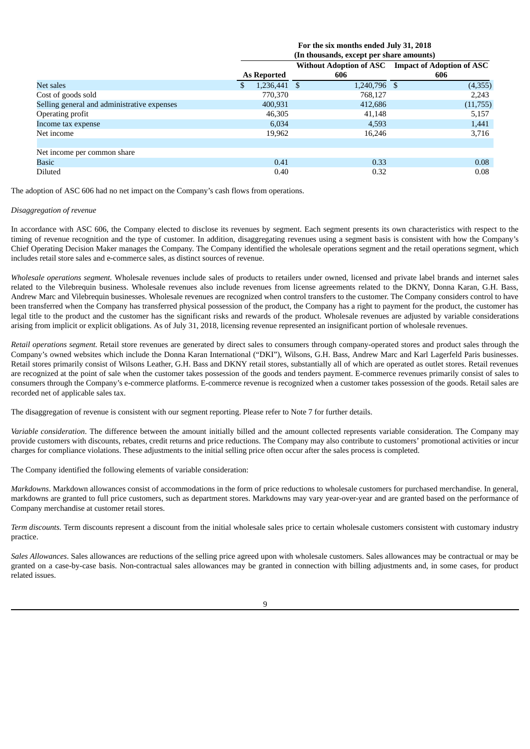|                                             | For the six months ended July 31, 2018 |                    |  |                                          |                                                   |           |  |  |  |  |  |
|---------------------------------------------|----------------------------------------|--------------------|--|------------------------------------------|---------------------------------------------------|-----------|--|--|--|--|--|
|                                             |                                        |                    |  | (In thousands, except per share amounts) |                                                   |           |  |  |  |  |  |
|                                             |                                        |                    |  |                                          | Without Adoption of ASC Impact of Adoption of ASC |           |  |  |  |  |  |
|                                             |                                        | <b>As Reported</b> |  | 606                                      |                                                   | 606       |  |  |  |  |  |
| Net sales                                   | \$                                     | 1.236.441 \$       |  | 1,240,796 \$                             |                                                   | (4,355)   |  |  |  |  |  |
| Cost of goods sold                          |                                        | 770,370            |  | 768,127                                  |                                                   | 2,243     |  |  |  |  |  |
| Selling general and administrative expenses |                                        | 400,931            |  | 412,686                                  |                                                   | (11, 755) |  |  |  |  |  |
| Operating profit                            |                                        | 46,305             |  | 41.148                                   |                                                   | 5,157     |  |  |  |  |  |
| Income tax expense                          |                                        | 6,034              |  | 4,593                                    |                                                   | 1,441     |  |  |  |  |  |
| Net income                                  |                                        | 19,962             |  | 16,246                                   |                                                   | 3,716     |  |  |  |  |  |
|                                             |                                        |                    |  |                                          |                                                   |           |  |  |  |  |  |
| Net income per common share                 |                                        |                    |  |                                          |                                                   |           |  |  |  |  |  |
| <b>Basic</b>                                |                                        | 0.41               |  | 0.33                                     |                                                   | 0.08      |  |  |  |  |  |
| <b>Diluted</b>                              |                                        | 0.40               |  | 0.32                                     |                                                   | 0.08      |  |  |  |  |  |

The adoption of ASC 606 had no net impact on the Company's cash flows from operations.

#### *Disaggregation of revenue*

In accordance with ASC 606, the Company elected to disclose its revenues by segment. Each segment presents its own characteristics with respect to the timing of revenue recognition and the type of customer. In addition, disaggregating revenues using a segment basis is consistent with how the Company's Chief Operating Decision Maker manages the Company. The Company identified the wholesale operations segment and the retail operations segment, which includes retail store sales and e-commerce sales, as distinct sources of revenue.

*Wholesale operations segment.* Wholesale revenues include sales of products to retailers under owned, licensed and private label brands and internet sales related to the Vilebrequin business. Wholesale revenues also include revenues from license agreements related to the DKNY, Donna Karan, G.H. Bass, Andrew Marc and Vilebrequin businesses. Wholesale revenues are recognized when control transfers to the customer. The Company considers control to have been transferred when the Company has transferred physical possession of the product, the Company has a right to payment for the product, the customer has legal title to the product and the customer has the significant risks and rewards of the product. Wholesale revenues are adjusted by variable considerations arising from implicit or explicit obligations. As of July 31, 2018, licensing revenue represented an insignificant portion of wholesale revenues.

*Retail operations segment.* Retail store revenues are generated by direct sales to consumers through company-operated stores and product sales through the Company's owned websites which include the Donna Karan International ("DKI"), Wilsons, G.H. Bass, Andrew Marc and Karl Lagerfeld Paris businesses. Retail stores primarily consist of Wilsons Leather, G.H. Bass and DKNY retail stores, substantially all of which are operated as outlet stores. Retail revenues are recognized at the point of sale when the customer takes possession of the goods and tenders payment. E-commerce revenues primarily consist of sales to consumers through the Company's e-commerce platforms. E-commerce revenue is recognized when a customer takes possession of the goods. Retail sales are recorded net of applicable sales tax.

The disaggregation of revenue is consistent with our segment reporting. Please refer to Note 7 for further details.

*Variable consideration*. The difference between the amount initially billed and the amount collected represents variable consideration. The Company may provide customers with discounts, rebates, credit returns and price reductions. The Company may also contribute to customers' promotional activities or incur charges for compliance violations. These adjustments to the initial selling price often occur after the sales process is completed.

The Company identified the following elements of variable consideration:

*Markdowns*. Markdown allowances consist of accommodations in the form of price reductions to wholesale customers for purchased merchandise. In general, markdowns are granted to full price customers, such as department stores. Markdowns may vary year-over-year and are granted based on the performance of Company merchandise at customer retail stores.

*Term discounts.* Term discounts represent a discount from the initial wholesale sales price to certain wholesale customers consistent with customary industry practice.

*Sales Allowances*. Sales allowances are reductions of the selling price agreed upon with wholesale customers. Sales allowances may be contractual or may be granted on a case-by-case basis. Non-contractual sales allowances may be granted in connection with billing adjustments and, in some cases, for product related issues.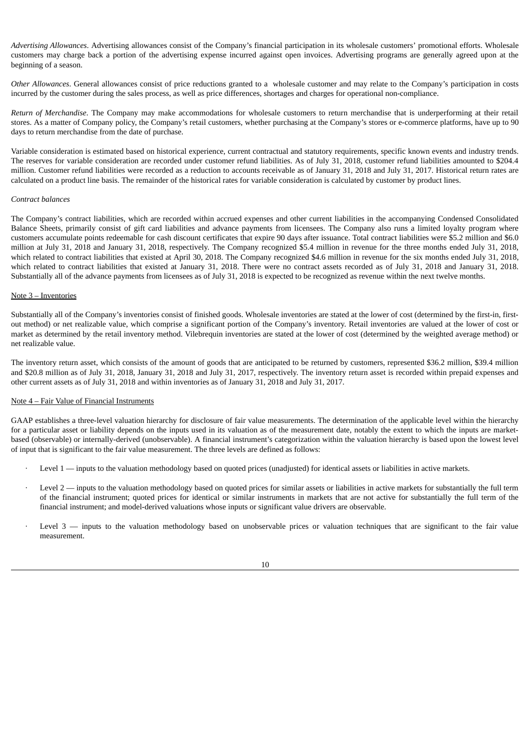*Advertising Allowances*. Advertising allowances consist of the Company's financial participation in its wholesale customers' promotional efforts. Wholesale customers may charge back a portion of the advertising expense incurred against open invoices. Advertising programs are generally agreed upon at the beginning of a season.

*Other Allowances*. General allowances consist of price reductions granted to a wholesale customer and may relate to the Company's participation in costs incurred by the customer during the sales process, as well as price differences, shortages and charges for operational non-compliance.

*Return of Merchandise*. The Company may make accommodations for wholesale customers to return merchandise that is underperforming at their retail stores. As a matter of Company policy, the Company's retail customers, whether purchasing at the Company's stores or e-commerce platforms, have up to 90 days to return merchandise from the date of purchase.

Variable consideration is estimated based on historical experience, current contractual and statutory requirements, specific known events and industry trends. The reserves for variable consideration are recorded under customer refund liabilities. As of July 31, 2018, customer refund liabilities amounted to \$204.4 million. Customer refund liabilities were recorded as a reduction to accounts receivable as of January 31, 2018 and July 31, 2017. Historical return rates are calculated on a product line basis. The remainder of the historical rates for variable consideration is calculated by customer by product lines.

#### *Contract balances*

The Company's contract liabilities, which are recorded within accrued expenses and other current liabilities in the accompanying Condensed Consolidated Balance Sheets, primarily consist of gift card liabilities and advance payments from licensees. The Company also runs a limited loyalty program where customers accumulate points redeemable for cash discount certificates that expire 90 days after issuance. Total contract liabilities were \$5.2 million and \$6.0 million at July 31, 2018 and January 31, 2018, respectively. The Company recognized \$5.4 million in revenue for the three months ended July 31, 2018, which related to contract liabilities that existed at April 30, 2018. The Company recognized \$4.6 million in revenue for the six months ended July 31, 2018, which related to contract liabilities that existed at January 31, 2018. There were no contract assets recorded as of July 31, 2018 and January 31, 2018. Substantially all of the advance payments from licensees as of July 31, 2018 is expected to be recognized as revenue within the next twelve months.

#### Note 3 – Inventories

Substantially all of the Company's inventories consist of finished goods. Wholesale inventories are stated at the lower of cost (determined by the first-in, firstout method) or net realizable value, which comprise a significant portion of the Company's inventory. Retail inventories are valued at the lower of cost or market as determined by the retail inventory method. Vilebrequin inventories are stated at the lower of cost (determined by the weighted average method) or net realizable value.

The inventory return asset, which consists of the amount of goods that are anticipated to be returned by customers, represented \$36.2 million, \$39.4 million and \$20.8 million as of July 31, 2018, January 31, 2018 and July 31, 2017, respectively. The inventory return asset is recorded within prepaid expenses and other current assets as of July 31, 2018 and within inventories as of January 31, 2018 and July 31, 2017.

#### Note 4 – Fair Value of Financial Instruments

GAAP establishes a three-level valuation hierarchy for disclosure of fair value measurements. The determination of the applicable level within the hierarchy for a particular asset or liability depends on the inputs used in its valuation as of the measurement date, notably the extent to which the inputs are marketbased (observable) or internally-derived (unobservable). A financial instrument's categorization within the valuation hierarchy is based upon the lowest level of input that is significant to the fair value measurement. The three levels are defined as follows:

- Level 1 inputs to the valuation methodology based on quoted prices (unadjusted) for identical assets or liabilities in active markets.
- Level 2 inputs to the valuation methodology based on quoted prices for similar assets or liabilities in active markets for substantially the full term of the financial instrument; quoted prices for identical or similar instruments in markets that are not active for substantially the full term of the financial instrument; and model-derived valuations whose inputs or significant value drivers are observable.
- Level  $3$  inputs to the valuation methodology based on unobservable prices or valuation techniques that are significant to the fair value measurement.

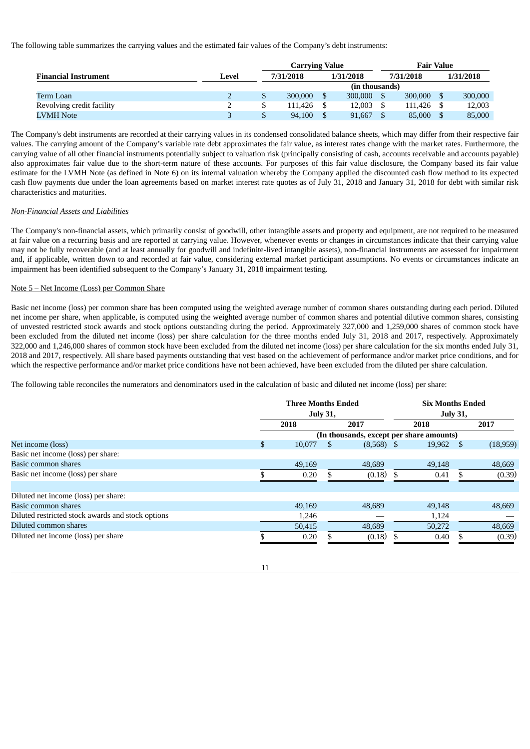The following table summarizes the carrying values and the estimated fair values of the Company's debt instruments:

|                             |               |  | <b>Carrying Value</b> |  |                |  | Fair Value |           |  |           |
|-----------------------------|---------------|--|-----------------------|--|----------------|--|------------|-----------|--|-----------|
| <b>Financial Instrument</b> | Level         |  | 7/31/2018             |  |                |  | 1/31/2018  | 7/31/2018 |  | 1/31/2018 |
|                             |               |  |                       |  | (in thousands) |  |            |           |  |           |
| Term Loan                   | ∸             |  | 300,000               |  | 300,000        |  | 300,000    | 300,000   |  |           |
| Revolving credit facility   | $\mathcal{D}$ |  | 111.426               |  | 12.003         |  | 111.426    | 12,003    |  |           |
| <b>LVMH</b> Note            | 3             |  | 94,100                |  | 91,667         |  | 85,000     | 85,000    |  |           |

The Company's debt instruments are recorded at their carrying values in its condensed consolidated balance sheets, which may differ from their respective fair values. The carrying amount of the Company's variable rate debt approximates the fair value, as interest rates change with the market rates. Furthermore, the carrying value of all other financial instruments potentially subject to valuation risk (principally consisting of cash, accounts receivable and accounts payable) also approximates fair value due to the short-term nature of these accounts. For purposes of this fair value disclosure, the Company based its fair value estimate for the LVMH Note (as defined in Note 6) on its internal valuation whereby the Company applied the discounted cash flow method to its expected cash flow payments due under the loan agreements based on market interest rate quotes as of July 31, 2018 and January 31, 2018 for debt with similar risk characteristics and maturities.

#### *Non-Financial Assets and Liabilities*

The Company's non-financial assets, which primarily consist of goodwill, other intangible assets and property and equipment, are not required to be measured at fair value on a recurring basis and are reported at carrying value. However, whenever events or changes in circumstances indicate that their carrying value may not be fully recoverable (and at least annually for goodwill and indefinite-lived intangible assets), non-financial instruments are assessed for impairment and, if applicable, written down to and recorded at fair value, considering external market participant assumptions. No events or circumstances indicate an impairment has been identified subsequent to the Company's January 31, 2018 impairment testing.

#### Note 5 – Net Income (Loss) per Common Share

Basic net income (loss) per common share has been computed using the weighted average number of common shares outstanding during each period. Diluted net income per share, when applicable, is computed using the weighted average number of common shares and potential dilutive common shares, consisting of unvested restricted stock awards and stock options outstanding during the period. Approximately 327,000 and 1,259,000 shares of common stock have been excluded from the diluted net income (loss) per share calculation for the three months ended July 31, 2018 and 2017, respectively. Approximately 322,000 and 1,246,000 shares of common stock have been excluded from the diluted net income (loss) per share calculation for the six months ended July 31, 2018 and 2017, respectively. All share based payments outstanding that vest based on the achievement of performance and/or market price conditions, and for which the respective performance and/or market price conditions have not been achieved, have been excluded from the diluted per share calculation.

The following table reconciles the numerators and denominators used in the calculation of basic and diluted net income (loss) per share:

|                                                   | <b>Three Months Ended</b><br><b>July 31,</b> |        |   |                                          | <b>Six Months Ended</b><br><b>July 31,</b> |        |     |          |
|---------------------------------------------------|----------------------------------------------|--------|---|------------------------------------------|--------------------------------------------|--------|-----|----------|
|                                                   |                                              | 2018   |   | 2017                                     | 2018                                       |        |     | 2017     |
|                                                   |                                              |        |   | (In thousands, except per share amounts) |                                            |        |     |          |
| Net income (loss)                                 | S                                            | 10,077 | S | $(8,568)$ \$                             |                                            | 19,962 | - S | (18,959) |
| Basic net income (loss) per share:                |                                              |        |   |                                          |                                            |        |     |          |
| Basic common shares                               |                                              | 49,169 |   | 48,689                                   |                                            | 49,148 |     | 48,669   |
| Basic net income (loss) per share                 |                                              | 0.20   |   | (0.18)                                   |                                            | 0.41   |     | (0.39)   |
|                                                   |                                              |        |   |                                          |                                            |        |     |          |
| Diluted net income (loss) per share:              |                                              |        |   |                                          |                                            |        |     |          |
| Basic common shares                               |                                              | 49,169 |   | 48,689                                   |                                            | 49,148 |     | 48,669   |
| Diluted restricted stock awards and stock options |                                              | 1,246  |   |                                          |                                            | 1,124  |     |          |
| Diluted common shares                             |                                              | 50,415 |   | 48,689                                   |                                            | 50,272 |     | 48,669   |
| Diluted net income (loss) per share               |                                              | 0.20   |   | (0.18)                                   |                                            | 0.40   |     | (0.39)   |

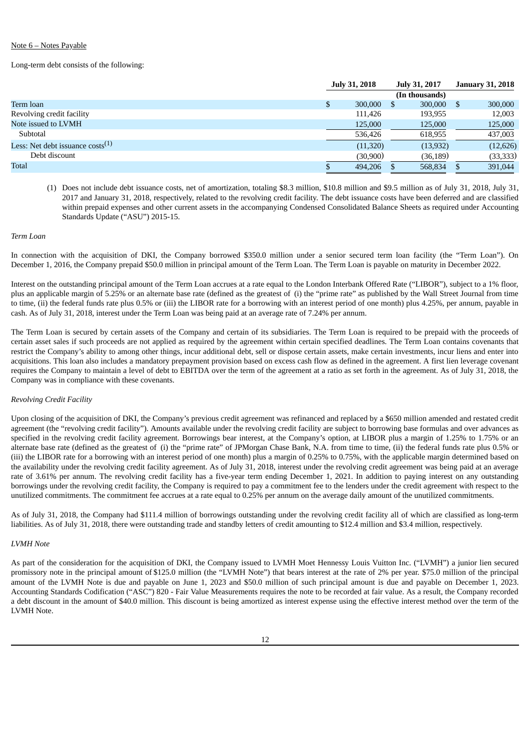#### Note 6 – Notes Payable

Long-term debt consists of the following:

|                                        | <b>July 31, 2018</b> |          |              |                |      |           |  |  |  |  |  | <b>July 31, 2017</b> |  | <b>January 31, 2018</b> |
|----------------------------------------|----------------------|----------|--------------|----------------|------|-----------|--|--|--|--|--|----------------------|--|-------------------------|
|                                        |                      |          |              | (In thousands) |      |           |  |  |  |  |  |                      |  |                         |
| Term loan                              | \$                   | 300,000  | <sup>S</sup> | 300,000        | - \$ | 300,000   |  |  |  |  |  |                      |  |                         |
| Revolving credit facility              |                      | 111.426  |              | 193,955        |      | 12,003    |  |  |  |  |  |                      |  |                         |
| Note issued to LVMH                    |                      | 125,000  |              | 125,000        |      | 125,000   |  |  |  |  |  |                      |  |                         |
| Subtotal                               |                      | 536,426  |              | 618.955        |      | 437,003   |  |  |  |  |  |                      |  |                         |
| Less: Net debt issuance costs $^{(1)}$ |                      | (11,320) |              | (13,932)       |      | (12, 626) |  |  |  |  |  |                      |  |                         |
| Debt discount                          |                      | (30,900) |              | (36,189)       |      | (33, 333) |  |  |  |  |  |                      |  |                         |
| Total                                  |                      | 494,206  |              | 568,834        |      | 391,044   |  |  |  |  |  |                      |  |                         |

(1) Does not include debt issuance costs, net of amortization, totaling \$8.3 million, \$10.8 million and \$9.5 million as of July 31, 2018, July 31, 2017 and January 31, 2018, respectively, related to the revolving credit facility. The debt issuance costs have been deferred and are classified within prepaid expenses and other current assets in the accompanying Condensed Consolidated Balance Sheets as required under Accounting Standards Update ("ASU") 2015-15.

#### *Term Loan*

In connection with the acquisition of DKI, the Company borrowed \$350.0 million under a senior secured term loan facility (the "Term Loan"). On December 1, 2016, the Company prepaid \$50.0 million in principal amount of the Term Loan. The Term Loan is payable on maturity in December 2022.

Interest on the outstanding principal amount of the Term Loan accrues at a rate equal to the London Interbank Offered Rate ("LIBOR"), subject to a 1% floor, plus an applicable margin of 5.25% or an alternate base rate (defined as the greatest of (i) the "prime rate" as published by the Wall Street Journal from time to time, (ii) the federal funds rate plus 0.5% or (iii) the LIBOR rate for a borrowing with an interest period of one month) plus 4.25%, per annum, payable in cash. As of July 31, 2018, interest under the Term Loan was being paid at an average rate of 7.24% per annum.

The Term Loan is secured by certain assets of the Company and certain of its subsidiaries. The Term Loan is required to be prepaid with the proceeds of certain asset sales if such proceeds are not applied as required by the agreement within certain specified deadlines. The Term Loan contains covenants that restrict the Company's ability to among other things, incur additional debt, sell or dispose certain assets, make certain investments, incur liens and enter into acquisitions. This loan also includes a mandatory prepayment provision based on excess cash flow as defined in the agreement. A first lien leverage covenant requires the Company to maintain a level of debt to EBITDA over the term of the agreement at a ratio as set forth in the agreement. As of July 31, 2018, the Company was in compliance with these covenants.

#### *Revolving Credit Facility*

Upon closing of the acquisition of DKI, the Company's previous credit agreement was refinanced and replaced by a \$650 million amended and restated credit agreement (the "revolving credit facility"). Amounts available under the revolving credit facility are subject to borrowing base formulas and over advances as specified in the revolving credit facility agreement. Borrowings bear interest, at the Company's option, at LIBOR plus a margin of 1.25% to 1.75% or an alternate base rate (defined as the greatest of (i) the "prime rate" of JPMorgan Chase Bank, N.A. from time to time, (ii) the federal funds rate plus 0.5% or (iii) the LIBOR rate for a borrowing with an interest period of one month) plus a margin of 0.25% to 0.75%, with the applicable margin determined based on the availability under the revolving credit facility agreement. As of July 31, 2018, interest under the revolving credit agreement was being paid at an average rate of 3.61% per annum. The revolving credit facility has a five-year term ending December 1, 2021. In addition to paying interest on any outstanding borrowings under the revolving credit facility, the Company is required to pay a commitment fee to the lenders under the credit agreement with respect to the unutilized commitments. The commitment fee accrues at a rate equal to 0.25% per annum on the average daily amount of the unutilized commitments.

As of July 31, 2018, the Company had \$111.4 million of borrowings outstanding under the revolving credit facility all of which are classified as long-term liabilities. As of July 31, 2018, there were outstanding trade and standby letters of credit amounting to \$12.4 million and \$3.4 million, respectively.

#### *LVMH Note*

As part of the consideration for the acquisition of DKI, the Company issued to LVMH Moet Hennessy Louis Vuitton Inc. ("LVMH") a junior lien secured promissory note in the principal amount of \$125.0 million (the "LVMH Note") that bears interest at the rate of 2% per year. \$75.0 million of the principal amount of the LVMH Note is due and payable on June 1, 2023 and \$50.0 million of such principal amount is due and payable on December 1, 2023. Accounting Standards Codification ("ASC") 820 - Fair Value Measurements requires the note to be recorded at fair value. As a result, the Company recorded a debt discount in the amount of \$40.0 million. This discount is being amortized as interest expense using the effective interest method over the term of the LVMH Note.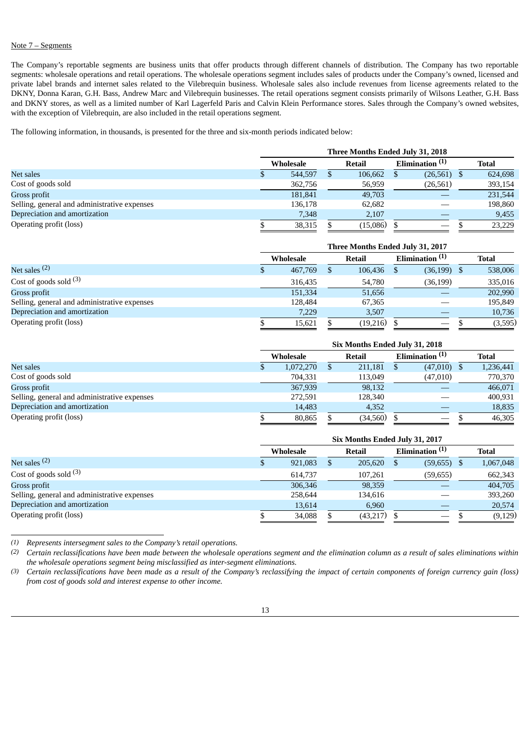#### Note 7 – Segments

The Company's reportable segments are business units that offer products through different channels of distribution. The Company has two reportable segments: wholesale operations and retail operations. The wholesale operations segment includes sales of products under the Company's owned, licensed and private label brands and internet sales related to the Vilebrequin business. Wholesale sales also include revenues from license agreements related to the DKNY, Donna Karan, G.H. Bass, Andrew Marc and Vilebrequin businesses. The retail operations segment consists primarily of Wilsons Leather, G.H. Bass and DKNY stores, as well as a limited number of Karl Lagerfeld Paris and Calvin Klein Performance stores. Sales through the Company's owned websites, with the exception of Vilebrequin, are also included in the retail operations segment.

The following information, in thousands, is presented for the three and six-month periods indicated below:

|                                              |  | Three Months Ended July 31, 2018 |  |               |  |                            |  |              |  |  |
|----------------------------------------------|--|----------------------------------|--|---------------|--|----------------------------|--|--------------|--|--|
|                                              |  | Wholesale                        |  | <b>Retail</b> |  | Elimination <sup>(1)</sup> |  | <b>Total</b> |  |  |
| Net sales                                    |  | 544,597                          |  | 106,662       |  | $(26,561)$ \$              |  | 624,698      |  |  |
| Cost of goods sold                           |  | 362,756                          |  | 56,959        |  | (26, 561)                  |  | 393,154      |  |  |
| Gross profit                                 |  | 181,841                          |  | 49,703        |  |                            |  | 231,544      |  |  |
| Selling, general and administrative expenses |  | 136,178                          |  | 62,682        |  |                            |  | 198,860      |  |  |
| Depreciation and amortization                |  | 7,348                            |  | 2,107         |  |                            |  | 9,455        |  |  |
| Operating profit (loss)                      |  | 38,315                           |  | (15,086)      |  | $\qquad \qquad$            |  | 23,229       |  |  |

|                                              | Three Months Ended July 31, 2017 |  |               |  |                            |  |              |
|----------------------------------------------|----------------------------------|--|---------------|--|----------------------------|--|--------------|
|                                              | Wholesale                        |  | <b>Retail</b> |  | Elimination <sup>(1)</sup> |  | <b>Total</b> |
| Net sales $(2)$                              | 467,769                          |  | 106,436 \$    |  | $(36,199)$ \$              |  | 538,006      |
| Cost of goods sold $(3)$                     | 316,435                          |  | 54,780        |  | (36, 199)                  |  | 335,016      |
| Gross profit                                 | 151,334                          |  | 51,656        |  |                            |  | 202,990      |
| Selling, general and administrative expenses | 128,484                          |  | 67,365        |  |                            |  | 195,849      |
| Depreciation and amortization                | 7,229                            |  | 3,507         |  |                            |  | 10,736       |
| Operating profit (loss)                      | 15,621                           |  | (19,216)      |  | $\hspace{0.05cm}$          |  | (3,595)      |

|                                              | Six Months Ended July 31, 2018 |  |               |  |                   |  |              |  |
|----------------------------------------------|--------------------------------|--|---------------|--|-------------------|--|--------------|--|
|                                              | Wholesale                      |  | <b>Retail</b> |  | Elimination $(1)$ |  | <b>Total</b> |  |
| Net sales                                    | 1,072,270                      |  | 211,181       |  | $(47,010)$ \$     |  | 1,236,441    |  |
| Cost of goods sold                           | 704.331                        |  | 113,049       |  | (47,010)          |  | 770,370      |  |
| Gross profit                                 | 367,939                        |  | 98,132        |  |                   |  | 466,071      |  |
| Selling, general and administrative expenses | 272.591                        |  | 128.340       |  |                   |  | 400,931      |  |
| Depreciation and amortization                | 14,483                         |  | 4,352         |  |                   |  | 18,835       |  |
| Operating profit (loss)                      | 80,865                         |  | (34,560)      |  | $\qquad \qquad$   |  | 46,305       |  |

|                                              | Six Months Ended July 31, 2017 |           |  |               |  |                            |  |              |
|----------------------------------------------|--------------------------------|-----------|--|---------------|--|----------------------------|--|--------------|
|                                              |                                | Wholesale |  | <b>Retail</b> |  | Elimination <sup>(1)</sup> |  | <b>Total</b> |
| Net sales $(2)$                              |                                | 921,083   |  | 205,620       |  | $(59,655)$ \$              |  | 1,067,048    |
| Cost of goods sold $(3)$                     |                                | 614.737   |  | 107,261       |  | (59, 655)                  |  | 662,343      |
| Gross profit                                 |                                | 306,346   |  | 98,359        |  |                            |  | 404,705      |
| Selling, general and administrative expenses |                                | 258,644   |  | 134,616       |  |                            |  | 393,260      |
| Depreciation and amortization                |                                | 13,614    |  | 6,960         |  |                            |  | 20,574       |
| Operating profit (loss)                      |                                | 34,088    |  | $(43,217)$ \$ |  |                            |  | (9, 129)     |

*(1) Represents intersegment sales to the Company's retail operations.*

(2) Certain reclassifications have been made between the wholesale operations segment and the elimination column as a result of sales eliminations within *the wholesale operations segment being misclassified as inter-segment eliminations.*

(3) Certain reclassifications have been made as a result of the Company's reclassifying the impact of certain components of foreign currency gain (loss) *from cost of goods sold and interest expense to other income.*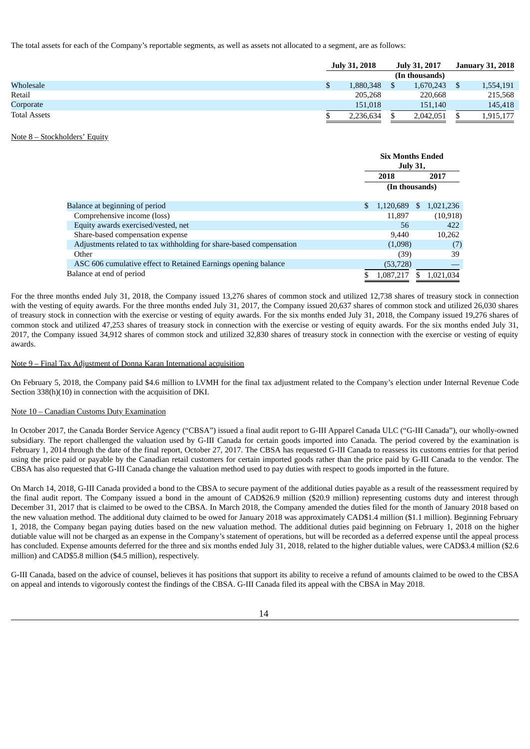The total assets for each of the Company's reportable segments, as well as assets not allocated to a segment, are as follows:

|                     | <b>July 31, 2018</b> |           | July 31, 2017 |           | <b>January 31, 2018</b> |           |
|---------------------|----------------------|-----------|---------------|-----------|-------------------------|-----------|
|                     | (In thousands)       |           |               |           |                         |           |
| Wholesale           | S                    | 1,880,348 |               | 1,670,243 |                         | 1,554,191 |
| Retail              |                      | 205,268   |               | 220,668   |                         | 215,568   |
| Corporate           |                      | 151,018   |               | 151,140   |                         | 145,418   |
| <b>Total Assets</b> |                      | 2,236,634 |               | 2,042,051 |                         | 1,915,177 |

Note 8 – Stockholders' Equity

|                                                                     |                | <b>Six Months Ended</b><br><b>July 31,</b> |    |           |
|---------------------------------------------------------------------|----------------|--------------------------------------------|----|-----------|
|                                                                     |                | 2018                                       |    | 2017      |
|                                                                     | (In thousands) |                                            |    |           |
| Balance at beginning of period                                      | \$             | 1,120,689                                  | S  | 1,021,236 |
| Comprehensive income (loss)                                         |                | 11,897                                     |    | (10, 918) |
| Equity awards exercised/vested, net                                 |                | 56                                         |    | 422       |
| Share-based compensation expense                                    |                | 9.440                                      |    | 10,262    |
| Adjustments related to tax withholding for share-based compensation |                | (1,098)                                    |    | (7)       |
| Other                                                               |                | (39)                                       |    | 39        |
| ASC 606 cumulative effect to Retained Earnings opening balance      |                | (53, 728)                                  |    |           |
| Balance at end of period                                            |                | 1.087.217                                  | S. | 1.021.034 |

For the three months ended July 31, 2018, the Company issued 13,276 shares of common stock and utilized 12,738 shares of treasury stock in connection with the vesting of equity awards. For the three months ended July 31, 2017, the Company issued 20,637 shares of common stock and utilized 26,030 shares of treasury stock in connection with the exercise or vesting of equity awards. For the six months ended July 31, 2018, the Company issued 19,276 shares of common stock and utilized 47,253 shares of treasury stock in connection with the exercise or vesting of equity awards. For the six months ended July 31, 2017, the Company issued 34,912 shares of common stock and utilized 32,830 shares of treasury stock in connection with the exercise or vesting of equity awards.

#### Note 9 – Final Tax Adjustment of Donna Karan International acquisition

On February 5, 2018, the Company paid \$4.6 million to LVMH for the final tax adjustment related to the Company's election under Internal Revenue Code Section 338(h)(10) in connection with the acquisition of DKI.

#### Note 10 – Canadian Customs Duty Examination

In October 2017, the Canada Border Service Agency ("CBSA") issued a final audit report to G-III Apparel Canada ULC ("G-III Canada"), our wholly-owned subsidiary. The report challenged the valuation used by G-III Canada for certain goods imported into Canada. The period covered by the examination is February 1, 2014 through the date of the final report, October 27, 2017. The CBSA has requested G-III Canada to reassess its customs entries for that period using the price paid or payable by the Canadian retail customers for certain imported goods rather than the price paid by G-III Canada to the vendor. The CBSA has also requested that G-III Canada change the valuation method used to pay duties with respect to goods imported in the future.

On March 14, 2018, G-III Canada provided a bond to the CBSA to secure payment of the additional duties payable as a result of the reassessment required by the final audit report. The Company issued a bond in the amount of CAD\$26.9 million (\$20.9 million) representing customs duty and interest through December 31, 2017 that is claimed to be owed to the CBSA. In March 2018, the Company amended the duties filed for the month of January 2018 based on the new valuation method. The additional duty claimed to be owed for January 2018 was approximately CAD\$1.4 million (\$1.1 million). Beginning February 1, 2018, the Company began paying duties based on the new valuation method. The additional duties paid beginning on February 1, 2018 on the higher dutiable value will not be charged as an expense in the Company's statement of operations, but will be recorded as a deferred expense until the appeal process has concluded. Expense amounts deferred for the three and six months ended July 31, 2018, related to the higher dutiable values, were CAD\$3.4 million (\$2.6) million) and CAD\$5.8 million (\$4.5 million), respectively.

G-III Canada, based on the advice of counsel, believes it has positions that support its ability to receive a refund of amounts claimed to be owed to the CBSA on appeal and intends to vigorously contest the findings of the CBSA. G-III Canada filed its appeal with the CBSA in May 2018.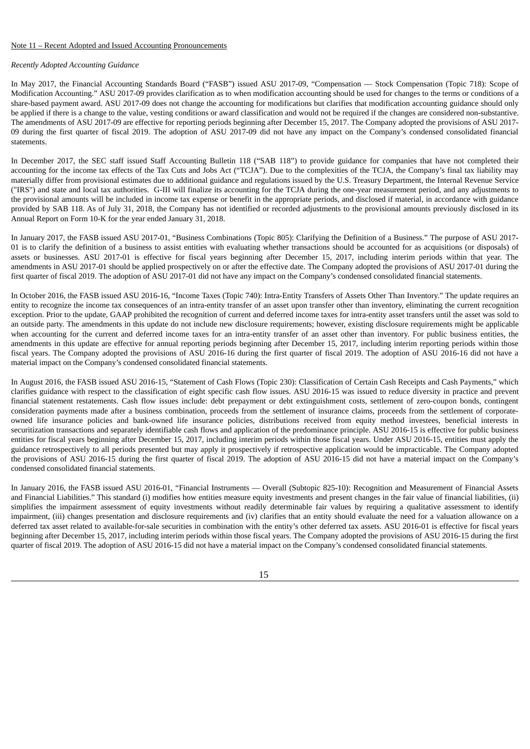#### Note 11 – Recent Adopted and Issued Accounting Pronouncements

#### *Recently Adopted Accounting Guidance*

In May 2017, the Financial Accounting Standards Board ("FASB") issued ASU 2017-09, "Compensation — Stock Compensation (Topic 718): Scope of Modification Accounting." ASU 2017-09 provides clarification as to when modification accounting should be used for changes to the terms or conditions of a share-based payment award. ASU 2017-09 does not change the accounting for modifications but clarifies that modification accounting guidance should only be applied if there is a change to the value, vesting conditions or award classification and would not be required if the changes are considered non-substantive. The amendments of ASU 2017-09 are effective for reporting periods beginning after December 15, 2017. The Company adopted the provisions of ASU 2017- 09 during the first quarter of fiscal 2019. The adoption of ASU 2017-09 did not have any impact on the Company's condensed consolidated financial statements.

In December 2017, the SEC staff issued Staff Accounting Bulletin 118 ("SAB 118") to provide guidance for companies that have not completed their accounting for the income tax effects of the Tax Cuts and Jobs Act ("TCJA"). Due to the complexities of the TCJA, the Company's final tax liability may materially differ from provisional estimates due to additional guidance and regulations issued by the U.S. Treasury Department, the Internal Revenue Service ("IRS") and state and local tax authorities. G-III will finalize its accounting for the TCJA during the one-year measurement period, and any adjustments to the provisional amounts will be included in income tax expense or benefit in the appropriate periods, and disclosed if material, in accordance with guidance provided by SAB 118. As of July 31, 2018, the Company has not identified or recorded adjustments to the provisional amounts previously disclosed in its Annual Report on Form 10-K for the year ended January 31, 2018.

In January 2017, the FASB issued ASU 2017-01, "Business Combinations (Topic 805): Clarifying the Definition of a Business." The purpose of ASU 2017- 01 is to clarify the definition of a business to assist entities with evaluating whether transactions should be accounted for as acquisitions (or disposals) of assets or businesses. ASU 2017-01 is effective for fiscal years beginning after December 15, 2017, including interim periods within that year. The amendments in ASU 2017-01 should be applied prospectively on or after the effective date. The Company adopted the provisions of ASU 2017-01 during the first quarter of fiscal 2019. The adoption of ASU 2017-01 did not have any impact on the Company's condensed consolidated financial statements.

In October 2016, the FASB issued ASU 2016-16, "Income Taxes (Topic 740): Intra-Entity Transfers of Assets Other Than Inventory." The update requires an entity to recognize the income tax consequences of an intra-entity transfer of an asset upon transfer other than inventory, eliminating the current recognition exception. Prior to the update, GAAP prohibited the recognition of current and deferred income taxes for intra-entity asset transfers until the asset was sold to an outside party. The amendments in this update do not include new disclosure requirements; however, existing disclosure requirements might be applicable when accounting for the current and deferred income taxes for an intra-entity transfer of an asset other than inventory. For public business entities, the amendments in this update are effective for annual reporting periods beginning after December 15, 2017, including interim reporting periods within those fiscal years. The Company adopted the provisions of ASU 2016-16 during the first quarter of fiscal 2019. The adoption of ASU 2016-16 did not have a material impact on the Company's condensed consolidated financial statements.

In August 2016, the FASB issued ASU 2016-15, "Statement of Cash Flows (Topic 230): Classification of Certain Cash Receipts and Cash Payments," which clarifies guidance with respect to the classification of eight specific cash flow issues. ASU 2016-15 was issued to reduce diversity in practice and prevent financial statement restatements. Cash flow issues include: debt prepayment or debt extinguishment costs, settlement of zero-coupon bonds, contingent consideration payments made after a business combination, proceeds from the settlement of insurance claims, proceeds from the settlement of corporateowned life insurance policies and bank-owned life insurance policies, distributions received from equity method investees, beneficial interests in securitization transactions and separately identifiable cash flows and application of the predominance principle. ASU 2016-15 is effective for public business entities for fiscal years beginning after December 15, 2017, including interim periods within those fiscal years. Under ASU 2016-15, entities must apply the guidance retrospectively to all periods presented but may apply it prospectively if retrospective application would be impracticable. The Company adopted the provisions of ASU 2016-15 during the first quarter of fiscal 2019. The adoption of ASU 2016-15 did not have a material impact on the Company's condensed consolidated financial statements.

In January 2016, the FASB issued ASU 2016-01, "Financial Instruments — Overall (Subtopic 825-10): Recognition and Measurement of Financial Assets and Financial Liabilities." This standard (i) modifies how entities measure equity investments and present changes in the fair value of financial liabilities, (ii) simplifies the impairment assessment of equity investments without readily determinable fair values by requiring a qualitative assessment to identify impairment, (iii) changes presentation and disclosure requirements and (iv) clarifies that an entity should evaluate the need for a valuation allowance on a deferred tax asset related to available-for-sale securities in combination with the entity's other deferred tax assets. ASU 2016-01 is effective for fiscal years beginning after December 15, 2017, including interim periods within those fiscal years. The Company adopted the provisions of ASU 2016-15 during the first quarter of fiscal 2019. The adoption of ASU 2016-15 did not have a material impact on the Company's condensed consolidated financial statements.

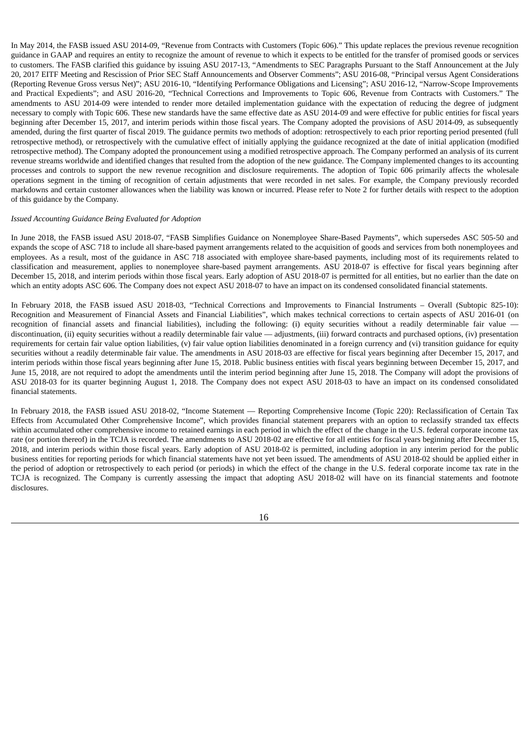In May 2014, the FASB issued ASU 2014-09, "Revenue from Contracts with Customers (Topic 606)." This update replaces the previous revenue recognition guidance in GAAP and requires an entity to recognize the amount of revenue to which it expects to be entitled for the transfer of promised goods or services to customers. The FASB clarified this guidance by issuing ASU 2017-13, "Amendments to SEC Paragraphs Pursuant to the Staff Announcement at the July 20, 2017 EITF Meeting and Rescission of Prior SEC Staff Announcements and Observer Comments"; ASU 2016-08, "Principal versus Agent Considerations (Reporting Revenue Gross versus Net)"; ASU 2016-10, "Identifying Performance Obligations and Licensing"; ASU 2016-12, "Narrow-Scope Improvements and Practical Expedients"; and ASU 2016-20, "Technical Corrections and Improvements to Topic 606, Revenue from Contracts with Customers." The amendments to ASU 2014-09 were intended to render more detailed implementation guidance with the expectation of reducing the degree of judgment necessary to comply with Topic 606. These new standards have the same effective date as ASU 2014-09 and were effective for public entities for fiscal years beginning after December 15, 2017, and interim periods within those fiscal years. The Company adopted the provisions of ASU 2014-09, as subsequently amended, during the first quarter of fiscal 2019. The guidance permits two methods of adoption: retrospectively to each prior reporting period presented (full retrospective method), or retrospectively with the cumulative effect of initially applying the guidance recognized at the date of initial application (modified retrospective method). The Company adopted the pronouncement using a modified retrospective approach. The Company performed an analysis of its current revenue streams worldwide and identified changes that resulted from the adoption of the new guidance. The Company implemented changes to its accounting processes and controls to support the new revenue recognition and disclosure requirements. The adoption of Topic 606 primarily affects the wholesale operations segment in the timing of recognition of certain adjustments that were recorded in net sales. For example, the Company previously recorded markdowns and certain customer allowances when the liability was known or incurred. Please refer to Note 2 for further details with respect to the adoption of this guidance by the Company.

#### *Issued Accounting Guidance Being Evaluated for Adoption*

In June 2018, the FASB issued ASU 2018-07, "FASB Simplifies Guidance on Nonemployee Share-Based Payments", which supersedes ASC 505-50 and expands the scope of ASC 718 to include all share-based payment arrangements related to the acquisition of goods and services from both nonemployees and employees. As a result, most of the guidance in ASC 718 associated with employee share-based payments, including most of its requirements related to classification and measurement, applies to nonemployee share-based payment arrangements. ASU 2018-07 is effective for fiscal years beginning after December 15, 2018, and interim periods within those fiscal years. Early adoption of ASU 2018-07 is permitted for all entities, but no earlier than the date on which an entity adopts ASC 606. The Company does not expect ASU 2018-07 to have an impact on its condensed consolidated financial statements.

In February 2018, the FASB issued ASU 2018-03, "Technical Corrections and Improvements to Financial Instruments – Overall (Subtopic 825-10): Recognition and Measurement of Financial Assets and Financial Liabilities", which makes technical corrections to certain aspects of ASU 2016-01 (on recognition of financial assets and financial liabilities), including the following: (i) equity securities without a readily determinable fair value discontinuation, (ii) equity securities without a readily determinable fair value — adjustments, (iii) forward contracts and purchased options, (iv) presentation requirements for certain fair value option liabilities, (v) fair value option liabilities denominated in a foreign currency and (vi) transition guidance for equity securities without a readily determinable fair value. The amendments in ASU 2018-03 are effective for fiscal years beginning after December 15, 2017, and interim periods within those fiscal years beginning after June 15, 2018. Public business entities with fiscal years beginning between December 15, 2017, and June 15, 2018, are not required to adopt the amendments until the interim period beginning after June 15, 2018. The Company will adopt the provisions of ASU 2018-03 for its quarter beginning August 1, 2018. The Company does not expect ASU 2018-03 to have an impact on its condensed consolidated financial statements.

In February 2018, the FASB issued ASU 2018-02, "Income Statement — Reporting Comprehensive Income (Topic 220): Reclassification of Certain Tax Effects from Accumulated Other Comprehensive Income", which provides financial statement preparers with an option to reclassify stranded tax effects within accumulated other comprehensive income to retained earnings in each period in which the effect of the change in the U.S. federal corporate income tax rate (or portion thereof) in the TCJA is recorded. The amendments to ASU 2018-02 are effective for all entities for fiscal years beginning after December 15, 2018, and interim periods within those fiscal years. Early adoption of ASU 2018-02 is permitted, including adoption in any interim period for the public business entities for reporting periods for which financial statements have not yet been issued. The amendments of ASU 2018-02 should be applied either in the period of adoption or retrospectively to each period (or periods) in which the effect of the change in the U.S. federal corporate income tax rate in the TCJA is recognized. The Company is currently assessing the impact that adopting ASU 2018-02 will have on its financial statements and footnote disclosures.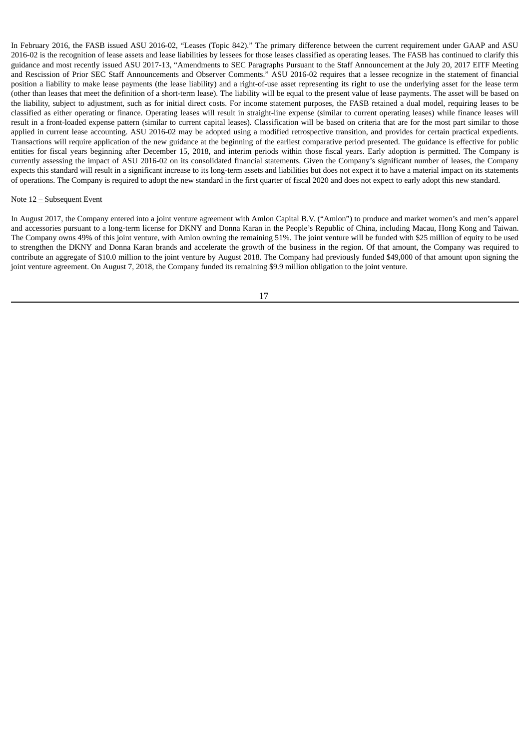In February 2016, the FASB issued ASU 2016-02, "Leases (Topic 842)." The primary difference between the current requirement under GAAP and ASU 2016-02 is the recognition of lease assets and lease liabilities by lessees for those leases classified as operating leases. The FASB has continued to clarify this guidance and most recently issued ASU 2017-13, "Amendments to SEC Paragraphs Pursuant to the Staff Announcement at the July 20, 2017 EITF Meeting and Rescission of Prior SEC Staff Announcements and Observer Comments." ASU 2016-02 requires that a lessee recognize in the statement of financial position a liability to make lease payments (the lease liability) and a right-of-use asset representing its right to use the underlying asset for the lease term (other than leases that meet the definition of a short-term lease). The liability will be equal to the present value of lease payments. The asset will be based on the liability, subject to adjustment, such as for initial direct costs. For income statement purposes, the FASB retained a dual model, requiring leases to be classified as either operating or finance. Operating leases will result in straight-line expense (similar to current operating leases) while finance leases will result in a front-loaded expense pattern (similar to current capital leases). Classification will be based on criteria that are for the most part similar to those applied in current lease accounting. ASU 2016-02 may be adopted using a modified retrospective transition, and provides for certain practical expedients. Transactions will require application of the new guidance at the beginning of the earliest comparative period presented. The guidance is effective for public entities for fiscal years beginning after December 15, 2018, and interim periods within those fiscal years. Early adoption is permitted. The Company is currently assessing the impact of ASU 2016-02 on its consolidated financial statements. Given the Company's significant number of leases, the Company expects this standard will result in a significant increase to its long-term assets and liabilities but does not expect it to have a material impact on its statements of operations. The Company is required to adopt the new standard in the first quarter of fiscal 2020 and does not expect to early adopt this new standard.

#### Note 12 – Subsequent Event

In August 2017, the Company entered into a joint venture agreement with Amlon Capital B.V. ("Amlon") to produce and market women's and men's apparel and accessories pursuant to a long-term license for DKNY and Donna Karan in the People's Republic of China, including Macau, Hong Kong and Taiwan. The Company owns 49% of this joint venture, with Amlon owning the remaining 51%. The joint venture will be funded with \$25 million of equity to be used to strengthen the DKNY and Donna Karan brands and accelerate the growth of the business in the region. Of that amount, the Company was required to contribute an aggregate of \$10.0 million to the joint venture by August 2018. The Company had previously funded \$49,000 of that amount upon signing the joint venture agreement. On August 7, 2018, the Company funded its remaining \$9.9 million obligation to the joint venture.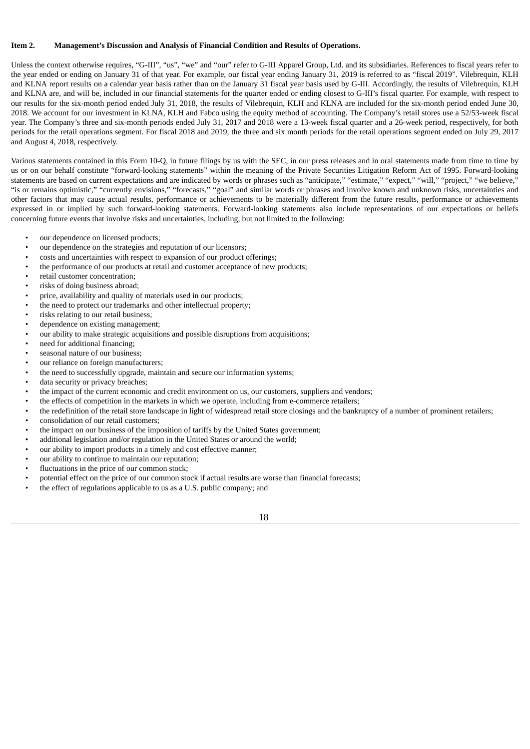#### <span id="page-17-0"></span>**Item 2. Management's Discussion and Analysis of Financial Condition and Results of Operations.**

Unless the context otherwise requires, "G-III", "us", "we" and "our" refer to G-III Apparel Group, Ltd. and its subsidiaries. References to fiscal years refer to the year ended or ending on January 31 of that year. For example, our fiscal year ending January 31, 2019 is referred to as "fiscal 2019". Vilebrequin, KLH and KLNA report results on a calendar year basis rather than on the January 31 fiscal year basis used by G-III. Accordingly, the results of Vilebrequin, KLH and KLNA are, and will be, included in our financial statements for the quarter ended or ending closest to G-III's fiscal quarter. For example, with respect to our results for the six-month period ended July 31, 2018, the results of Vilebrequin, KLH and KLNA are included for the six-month period ended June 30, 2018. We account for our investment in KLNA, KLH and Fabco using the equity method of accounting. The Company's retail stores use a 52/53-week fiscal year. The Company's three and six-month periods ended July 31, 2017 and 2018 were a 13-week fiscal quarter and a 26-week period, respectively, for both periods for the retail operations segment. For fiscal 2018 and 2019, the three and six month periods for the retail operations segment ended on July 29, 2017 and August 4, 2018, respectively.

Various statements contained in this Form 10-Q, in future filings by us with the SEC, in our press releases and in oral statements made from time to time by us or on our behalf constitute "forward-looking statements" within the meaning of the Private Securities Litigation Reform Act of 1995. Forward-looking statements are based on current expectations and are indicated by words or phrases such as "anticipate," "estimate," "expect," "will," "project," "we believe," "is or remains optimistic," "currently envisions," "forecasts," "goal" and similar words or phrases and involve known and unknown risks, uncertainties and other factors that may cause actual results, performance or achievements to be materially different from the future results, performance or achievements expressed in or implied by such forward-looking statements. Forward-looking statements also include representations of our expectations or beliefs concerning future events that involve risks and uncertainties, including, but not limited to the following:

- our dependence on licensed products;
- our dependence on the strategies and reputation of our licensors;
- costs and uncertainties with respect to expansion of our product offerings;
- the performance of our products at retail and customer acceptance of new products;
- retail customer concentration;
- risks of doing business abroad;
- price, availability and quality of materials used in our products;
- the need to protect our trademarks and other intellectual property;
- risks relating to our retail business;
- dependence on existing management;
- our ability to make strategic acquisitions and possible disruptions from acquisitions;
- need for additional financing;
- seasonal nature of our business;
- our reliance on foreign manufacturers;
- the need to successfully upgrade, maintain and secure our information systems;
- data security or privacy breaches;
- the impact of the current economic and credit environment on us, our customers, suppliers and vendors;
- the effects of competition in the markets in which we operate, including from e-commerce retailers;
- the redefinition of the retail store landscape in light of widespread retail store closings and the bankruptcy of a number of prominent retailers;
- consolidation of our retail customers;
- the impact on our business of the imposition of tariffs by the United States government;
- additional legislation and/or regulation in the United States or around the world;
- our ability to import products in a timely and cost effective manner;
- our ability to continue to maintain our reputation;
- fluctuations in the price of our common stock;
- potential effect on the price of our common stock if actual results are worse than financial forecasts;
- the effect of regulations applicable to us as a U.S. public company; and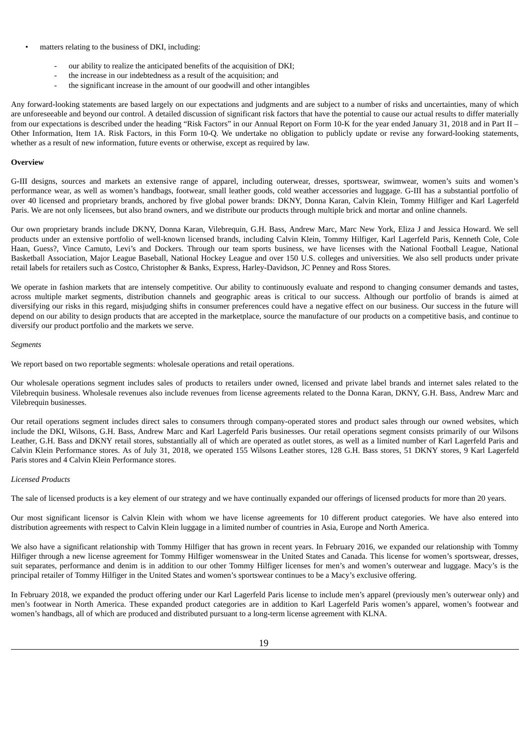- matters relating to the business of DKI, including:
	- our ability to realize the anticipated benefits of the acquisition of DKI;
	- the increase in our indebtedness as a result of the acquisition; and
	- the significant increase in the amount of our goodwill and other intangibles

Any forward-looking statements are based largely on our expectations and judgments and are subject to a number of risks and uncertainties, many of which are unforeseeable and beyond our control. A detailed discussion of significant risk factors that have the potential to cause our actual results to differ materially from our expectations is described under the heading "Risk Factors" in our Annual Report on Form 10-K for the year ended January 31, 2018 and in Part II – Other Information, Item 1A. Risk Factors, in this Form 10-Q. We undertake no obligation to publicly update or revise any forward-looking statements, whether as a result of new information, future events or otherwise, except as required by law.

#### **Overview**

G-III designs, sources and markets an extensive range of apparel, including outerwear, dresses, sportswear, swimwear, women's suits and women's performance wear, as well as women's handbags, footwear, small leather goods, cold weather accessories and luggage. G-III has a substantial portfolio of over 40 licensed and proprietary brands, anchored by five global power brands: DKNY, Donna Karan, Calvin Klein, Tommy Hilfiger and Karl Lagerfeld Paris. We are not only licensees, but also brand owners, and we distribute our products through multiple brick and mortar and online channels.

Our own proprietary brands include DKNY, Donna Karan, Vilebrequin, G.H. Bass, Andrew Marc, Marc New York, Eliza J and Jessica Howard. We sell products under an extensive portfolio of well-known licensed brands, including Calvin Klein, Tommy Hilfiger, Karl Lagerfeld Paris, Kenneth Cole, Cole Haan, Guess?, Vince Camuto, Levi's and Dockers. Through our team sports business, we have licenses with the National Football League, National Basketball Association, Major League Baseball, National Hockey League and over 150 U.S. colleges and universities. We also sell products under private retail labels for retailers such as Costco, Christopher & Banks, Express, Harley-Davidson, JC Penney and Ross Stores.

We operate in fashion markets that are intensely competitive. Our ability to continuously evaluate and respond to changing consumer demands and tastes, across multiple market segments, distribution channels and geographic areas is critical to our success. Although our portfolio of brands is aimed at diversifying our risks in this regard, misjudging shifts in consumer preferences could have a negative effect on our business. Our success in the future will depend on our ability to design products that are accepted in the marketplace, source the manufacture of our products on a competitive basis, and continue to diversify our product portfolio and the markets we serve.

#### *Segments*

We report based on two reportable segments: wholesale operations and retail operations.

Our wholesale operations segment includes sales of products to retailers under owned, licensed and private label brands and internet sales related to the Vilebrequin business. Wholesale revenues also include revenues from license agreements related to the Donna Karan, DKNY, G.H. Bass, Andrew Marc and Vilebrequin businesses.

Our retail operations segment includes direct sales to consumers through company-operated stores and product sales through our owned websites, which include the DKI, Wilsons, G.H. Bass, Andrew Marc and Karl Lagerfeld Paris businesses. Our retail operations segment consists primarily of our Wilsons Leather, G.H. Bass and DKNY retail stores, substantially all of which are operated as outlet stores, as well as a limited number of Karl Lagerfeld Paris and Calvin Klein Performance stores. As of July 31, 2018, we operated 155 Wilsons Leather stores, 128 G.H. Bass stores, 51 DKNY stores, 9 Karl Lagerfeld Paris stores and 4 Calvin Klein Performance stores.

#### *Licensed Products*

The sale of licensed products is a key element of our strategy and we have continually expanded our offerings of licensed products for more than 20 years.

Our most significant licensor is Calvin Klein with whom we have license agreements for 10 different product categories. We have also entered into distribution agreements with respect to Calvin Klein luggage in a limited number of countries in Asia, Europe and North America.

We also have a significant relationship with Tommy Hilfiger that has grown in recent years. In February 2016, we expanded our relationship with Tommy Hilfiger through a new license agreement for Tommy Hilfiger womenswear in the United States and Canada. This license for women's sportswear, dresses, suit separates, performance and denim is in addition to our other Tommy Hilfiger licenses for men's and women's outerwear and luggage. Macy's is the principal retailer of Tommy Hilfiger in the United States and women's sportswear continues to be a Macy's exclusive offering.

In February 2018, we expanded the product offering under our Karl Lagerfeld Paris license to include men's apparel (previously men's outerwear only) and men's footwear in North America. These expanded product categories are in addition to Karl Lagerfeld Paris women's apparel, women's footwear and women's handbags, all of which are produced and distributed pursuant to a long-term license agreement with KLNA.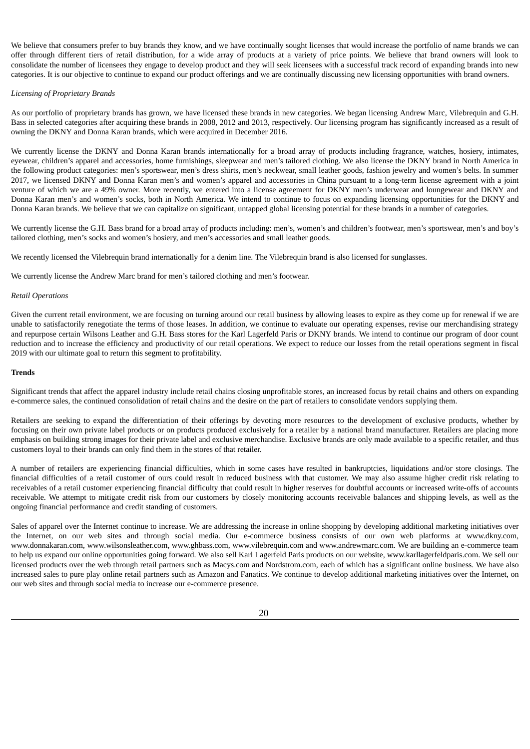We believe that consumers prefer to buy brands they know, and we have continually sought licenses that would increase the portfolio of name brands we can offer through different tiers of retail distribution, for a wide array of products at a variety of price points. We believe that brand owners will look to consolidate the number of licensees they engage to develop product and they will seek licensees with a successful track record of expanding brands into new categories. It is our objective to continue to expand our product offerings and we are continually discussing new licensing opportunities with brand owners.

#### *Licensing of Proprietary Brands*

As our portfolio of proprietary brands has grown, we have licensed these brands in new categories. We began licensing Andrew Marc, Vilebrequin and G.H. Bass in selected categories after acquiring these brands in 2008, 2012 and 2013, respectively. Our licensing program has significantly increased as a result of owning the DKNY and Donna Karan brands, which were acquired in December 2016.

We currently license the DKNY and Donna Karan brands internationally for a broad array of products including fragrance, watches, hosiery, intimates, eyewear, children's apparel and accessories, home furnishings, sleepwear and men's tailored clothing. We also license the DKNY brand in North America in the following product categories: men's sportswear, men's dress shirts, men's neckwear, small leather goods, fashion jewelry and women's belts. In summer 2017, we licensed DKNY and Donna Karan men's and women's apparel and accessories in China pursuant to a long-term license agreement with a joint venture of which we are a 49% owner. More recently, we entered into a license agreement for DKNY men's underwear and loungewear and DKNY and Donna Karan men's and women's socks, both in North America. We intend to continue to focus on expanding licensing opportunities for the DKNY and Donna Karan brands. We believe that we can capitalize on significant, untapped global licensing potential for these brands in a number of categories.

We currently license the G.H. Bass brand for a broad array of products including: men's, women's and children's footwear, men's sportswear, men's and boy's tailored clothing, men's socks and women's hosiery, and men's accessories and small leather goods.

We recently licensed the Vilebrequin brand internationally for a denim line. The Vilebrequin brand is also licensed for sunglasses.

We currently license the Andrew Marc brand for men's tailored clothing and men's footwear.

#### *Retail Operations*

Given the current retail environment, we are focusing on turning around our retail business by allowing leases to expire as they come up for renewal if we are unable to satisfactorily renegotiate the terms of those leases. In addition, we continue to evaluate our operating expenses, revise our merchandising strategy and repurpose certain Wilsons Leather and G.H. Bass stores for the Karl Lagerfeld Paris or DKNY brands. We intend to continue our program of door count reduction and to increase the efficiency and productivity of our retail operations. We expect to reduce our losses from the retail operations segment in fiscal 2019 with our ultimate goal to return this segment to profitability.

#### **Trends**

Significant trends that affect the apparel industry include retail chains closing unprofitable stores, an increased focus by retail chains and others on expanding e-commerce sales, the continued consolidation of retail chains and the desire on the part of retailers to consolidate vendors supplying them.

Retailers are seeking to expand the differentiation of their offerings by devoting more resources to the development of exclusive products, whether by focusing on their own private label products or on products produced exclusively for a retailer by a national brand manufacturer. Retailers are placing more emphasis on building strong images for their private label and exclusive merchandise. Exclusive brands are only made available to a specific retailer, and thus customers loyal to their brands can only find them in the stores of that retailer.

A number of retailers are experiencing financial difficulties, which in some cases have resulted in bankruptcies, liquidations and/or store closings. The financial difficulties of a retail customer of ours could result in reduced business with that customer. We may also assume higher credit risk relating to receivables of a retail customer experiencing financial difficulty that could result in higher reserves for doubtful accounts or increased write-offs of accounts receivable. We attempt to mitigate credit risk from our customers by closely monitoring accounts receivable balances and shipping levels, as well as the ongoing financial performance and credit standing of customers.

Sales of apparel over the Internet continue to increase. We are addressing the increase in online shopping by developing additional marketing initiatives over the Internet, on our web sites and through social media. Our e-commerce business consists of our own web platforms at www.dkny.com, www.donnakaran.com, www.wilsonsleather.com, www.ghbass.com, www.vilebrequin.com and www.andrewmarc.com. We are building an e-commerce team to help us expand our online opportunities going forward. We also sell Karl Lagerfeld Paris products on our website, www.karllagerfeldparis.com. We sell our licensed products over the web through retail partners such as Macys.com and Nordstrom.com, each of which has a significant online business. We have also increased sales to pure play online retail partners such as Amazon and Fanatics. We continue to develop additional marketing initiatives over the Internet, on our web sites and through social media to increase our e-commerce presence.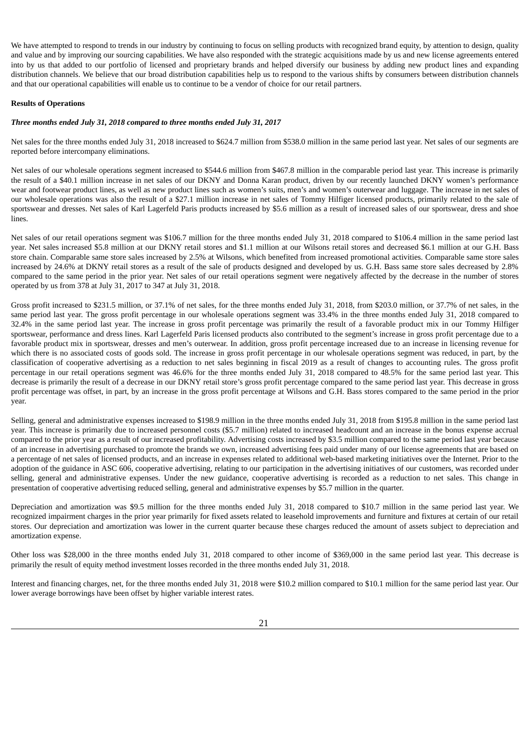We have attempted to respond to trends in our industry by continuing to focus on selling products with recognized brand equity, by attention to design, quality and value and by improving our sourcing capabilities. We have also responded with the strategic acquisitions made by us and new license agreements entered into by us that added to our portfolio of licensed and proprietary brands and helped diversify our business by adding new product lines and expanding distribution channels. We believe that our broad distribution capabilities help us to respond to the various shifts by consumers between distribution channels and that our operational capabilities will enable us to continue to be a vendor of choice for our retail partners.

#### **Results of Operations**

#### *Three months ended July 31, 2018 compared to three months ended July 31, 2017*

Net sales for the three months ended July 31, 2018 increased to \$624.7 million from \$538.0 million in the same period last year. Net sales of our segments are reported before intercompany eliminations.

Net sales of our wholesale operations segment increased to \$544.6 million from \$467.8 million in the comparable period last year. This increase is primarily the result of a \$40.1 million increase in net sales of our DKNY and Donna Karan product, driven by our recently launched DKNY women's performance wear and footwear product lines, as well as new product lines such as women's suits, men's and women's outerwear and luggage. The increase in net sales of our wholesale operations was also the result of a \$27.1 million increase in net sales of Tommy Hilfiger licensed products, primarily related to the sale of sportswear and dresses. Net sales of Karl Lagerfeld Paris products increased by \$5.6 million as a result of increased sales of our sportswear, dress and shoe lines.

Net sales of our retail operations segment was \$106.7 million for the three months ended July 31, 2018 compared to \$106.4 million in the same period last year. Net sales increased \$5.8 million at our DKNY retail stores and \$1.1 million at our Wilsons retail stores and decreased \$6.1 million at our G.H. Bass store chain. Comparable same store sales increased by 2.5% at Wilsons, which benefited from increased promotional activities. Comparable same store sales increased by 24.6% at DKNY retail stores as a result of the sale of products designed and developed by us. G.H. Bass same store sales decreased by 2.8% compared to the same period in the prior year. Net sales of our retail operations segment were negatively affected by the decrease in the number of stores operated by us from 378 at July 31, 2017 to 347 at July 31, 2018.

Gross profit increased to \$231.5 million, or 37.1% of net sales, for the three months ended July 31, 2018, from \$203.0 million, or 37.7% of net sales, in the same period last year. The gross profit percentage in our wholesale operations segment was 33.4% in the three months ended July 31, 2018 compared to 32.4% in the same period last year. The increase in gross profit percentage was primarily the result of a favorable product mix in our Tommy Hilfiger sportswear, performance and dress lines. Karl Lagerfeld Paris licensed products also contributed to the segment's increase in gross profit percentage due to a favorable product mix in sportswear, dresses and men's outerwear. In addition, gross profit percentage increased due to an increase in licensing revenue for which there is no associated costs of goods sold. The increase in gross profit percentage in our wholesale operations segment was reduced, in part, by the classification of cooperative advertising as a reduction to net sales beginning in fiscal 2019 as a result of changes to accounting rules. The gross profit percentage in our retail operations segment was 46.6% for the three months ended July 31, 2018 compared to 48.5% for the same period last year. This decrease is primarily the result of a decrease in our DKNY retail store's gross profit percentage compared to the same period last year. This decrease in gross profit percentage was offset, in part, by an increase in the gross profit percentage at Wilsons and G.H. Bass stores compared to the same period in the prior year.

Selling, general and administrative expenses increased to \$198.9 million in the three months ended July 31, 2018 from \$195.8 million in the same period last year. This increase is primarily due to increased personnel costs (\$5.7 million) related to increased headcount and an increase in the bonus expense accrual compared to the prior year as a result of our increased profitability. Advertising costs increased by \$3.5 million compared to the same period last year because of an increase in advertising purchased to promote the brands we own, increased advertising fees paid under many of our license agreements that are based on a percentage of net sales of licensed products, and an increase in expenses related to additional web-based marketing initiatives over the Internet. Prior to the adoption of the guidance in ASC 606, cooperative advertising, relating to our participation in the advertising initiatives of our customers, was recorded under selling, general and administrative expenses. Under the new guidance, cooperative advertising is recorded as a reduction to net sales. This change in presentation of cooperative advertising reduced selling, general and administrative expenses by \$5.7 million in the quarter.

Depreciation and amortization was \$9.5 million for the three months ended July 31, 2018 compared to \$10.7 million in the same period last year. We recognized impairment charges in the prior year primarily for fixed assets related to leasehold improvements and furniture and fixtures at certain of our retail stores. Our depreciation and amortization was lower in the current quarter because these charges reduced the amount of assets subject to depreciation and amortization expense.

Other loss was \$28,000 in the three months ended July 31, 2018 compared to other income of \$369,000 in the same period last year. This decrease is primarily the result of equity method investment losses recorded in the three months ended July 31, 2018.

Interest and financing charges, net, for the three months ended July 31, 2018 were \$10.2 million compared to \$10.1 million for the same period last year. Our lower average borrowings have been offset by higher variable interest rates.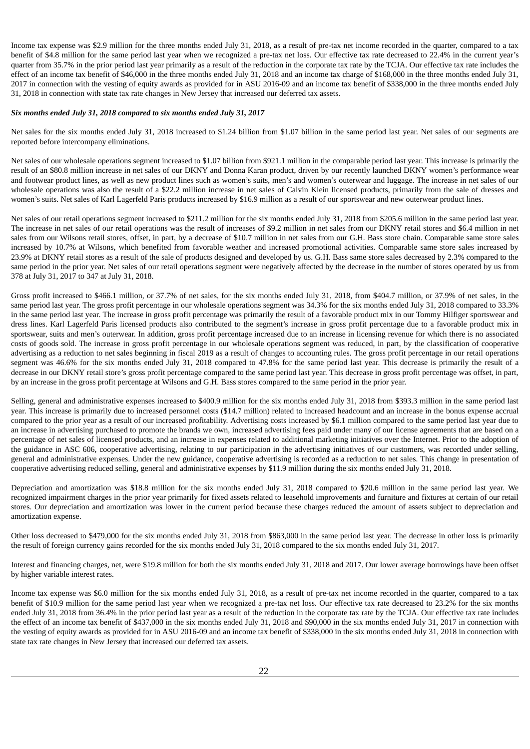Income tax expense was \$2.9 million for the three months ended July 31, 2018, as a result of pre-tax net income recorded in the quarter, compared to a tax benefit of \$4.8 million for the same period last year when we recognized a pre-tax net loss. Our effective tax rate decreased to 22.4% in the current year's quarter from 35.7% in the prior period last year primarily as a result of the reduction in the corporate tax rate by the TCJA. Our effective tax rate includes the effect of an income tax benefit of \$46,000 in the three months ended July 31, 2018 and an income tax charge of \$168,000 in the three months ended July 31, 2017 in connection with the vesting of equity awards as provided for in ASU 2016-09 and an income tax benefit of \$338,000 in the three months ended July 31, 2018 in connection with state tax rate changes in New Jersey that increased our deferred tax assets.

#### *Six months ended July 31, 2018 compared to six months ended July 31, 2017*

Net sales for the six months ended July 31, 2018 increased to \$1.24 billion from \$1.07 billion in the same period last year. Net sales of our segments are reported before intercompany eliminations.

Net sales of our wholesale operations segment increased to \$1.07 billion from \$921.1 million in the comparable period last year. This increase is primarily the result of an \$80.8 million increase in net sales of our DKNY and Donna Karan product, driven by our recently launched DKNY women's performance wear and footwear product lines, as well as new product lines such as women's suits, men's and women's outerwear and luggage. The increase in net sales of our wholesale operations was also the result of a \$22.2 million increase in net sales of Calvin Klein licensed products, primarily from the sale of dresses and women's suits. Net sales of Karl Lagerfeld Paris products increased by \$16.9 million as a result of our sportswear and new outerwear product lines.

Net sales of our retail operations segment increased to \$211.2 million for the six months ended July 31, 2018 from \$205.6 million in the same period last year. The increase in net sales of our retail operations was the result of increases of \$9.2 million in net sales from our DKNY retail stores and \$6.4 million in net sales from our Wilsons retail stores, offset, in part, by a decrease of \$10.7 million in net sales from our G.H. Bass store chain. Comparable same store sales increased by 10.7% at Wilsons, which benefited from favorable weather and increased promotional activities. Comparable same store sales increased by 23.9% at DKNY retail stores as a result of the sale of products designed and developed by us. G.H. Bass same store sales decreased by 2.3% compared to the same period in the prior year. Net sales of our retail operations segment were negatively affected by the decrease in the number of stores operated by us from 378 at July 31, 2017 to 347 at July 31, 2018.

Gross profit increased to \$466.1 million, or 37.7% of net sales, for the six months ended July 31, 2018, from \$404.7 million, or 37.9% of net sales, in the same period last year. The gross profit percentage in our wholesale operations segment was 34.3% for the six months ended July 31, 2018 compared to 33.3% in the same period last year. The increase in gross profit percentage was primarily the result of a favorable product mix in our Tommy Hilfiger sportswear and dress lines. Karl Lagerfeld Paris licensed products also contributed to the segment's increase in gross profit percentage due to a favorable product mix in sportswear, suits and men's outerwear. In addition, gross profit percentage increased due to an increase in licensing revenue for which there is no associated costs of goods sold. The increase in gross profit percentage in our wholesale operations segment was reduced, in part, by the classification of cooperative advertising as a reduction to net sales beginning in fiscal 2019 as a result of changes to accounting rules. The gross profit percentage in our retail operations segment was 46.6% for the six months ended July 31, 2018 compared to 47.8% for the same period last year. This decrease is primarily the result of a decrease in our DKNY retail store's gross profit percentage compared to the same period last year. This decrease in gross profit percentage was offset, in part, by an increase in the gross profit percentage at Wilsons and G.H. Bass stores compared to the same period in the prior year.

Selling, general and administrative expenses increased to \$400.9 million for the six months ended July 31, 2018 from \$393.3 million in the same period last year. This increase is primarily due to increased personnel costs (\$14.7 million) related to increased headcount and an increase in the bonus expense accrual compared to the prior year as a result of our increased profitability. Advertising costs increased by \$6.1 million compared to the same period last year due to an increase in advertising purchased to promote the brands we own, increased advertising fees paid under many of our license agreements that are based on a percentage of net sales of licensed products, and an increase in expenses related to additional marketing initiatives over the Internet. Prior to the adoption of the guidance in ASC 606, cooperative advertising, relating to our participation in the advertising initiatives of our customers, was recorded under selling, general and administrative expenses. Under the new guidance, cooperative advertising is recorded as a reduction to net sales. This change in presentation of cooperative advertising reduced selling, general and administrative expenses by \$11.9 million during the six months ended July 31, 2018.

Depreciation and amortization was \$18.8 million for the six months ended July 31, 2018 compared to \$20.6 million in the same period last year. We recognized impairment charges in the prior year primarily for fixed assets related to leasehold improvements and furniture and fixtures at certain of our retail stores. Our depreciation and amortization was lower in the current period because these charges reduced the amount of assets subject to depreciation and amortization expense.

Other loss decreased to \$479,000 for the six months ended July 31, 2018 from \$863,000 in the same period last year. The decrease in other loss is primarily the result of foreign currency gains recorded for the six months ended July 31, 2018 compared to the six months ended July 31, 2017.

Interest and financing charges, net, were \$19.8 million for both the six months ended July 31, 2018 and 2017. Our lower average borrowings have been offset by higher variable interest rates.

Income tax expense was \$6.0 million for the six months ended July 31, 2018, as a result of pre-tax net income recorded in the quarter, compared to a tax benefit of \$10.9 million for the same period last year when we recognized a pre-tax net loss. Our effective tax rate decreased to 23.2% for the six months ended July 31, 2018 from 36.4% in the prior period last year as a result of the reduction in the corporate tax rate by the TCJA. Our effective tax rate includes the effect of an income tax benefit of \$437,000 in the six months ended July 31, 2018 and \$90,000 in the six months ended July 31, 2017 in connection with the vesting of equity awards as provided for in ASU 2016-09 and an income tax benefit of \$338,000 in the six months ended July 31, 2018 in connection with state tax rate changes in New Jersey that increased our deferred tax assets.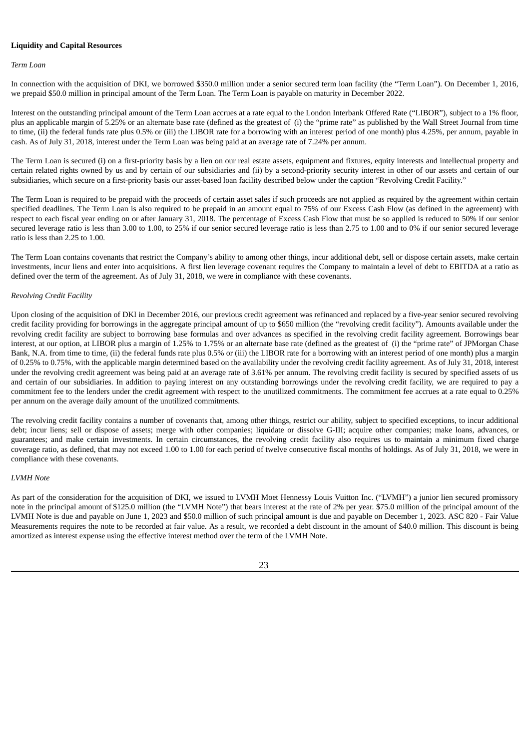#### **Liquidity and Capital Resources**

#### *Term Loan*

In connection with the acquisition of DKI, we borrowed \$350.0 million under a senior secured term loan facility (the "Term Loan"). On December 1, 2016, we prepaid \$50.0 million in principal amount of the Term Loan. The Term Loan is payable on maturity in December 2022.

Interest on the outstanding principal amount of the Term Loan accrues at a rate equal to the London Interbank Offered Rate ("LIBOR"), subject to a 1% floor, plus an applicable margin of 5.25% or an alternate base rate (defined as the greatest of (i) the "prime rate" as published by the Wall Street Journal from time to time, (ii) the federal funds rate plus 0.5% or (iii) the LIBOR rate for a borrowing with an interest period of one month) plus 4.25%, per annum, payable in cash. As of July 31, 2018, interest under the Term Loan was being paid at an average rate of 7.24% per annum.

The Term Loan is secured (i) on a first-priority basis by a lien on our real estate assets, equipment and fixtures, equity interests and intellectual property and certain related rights owned by us and by certain of our subsidiaries and (ii) by a second-priority security interest in other of our assets and certain of our subsidiaries, which secure on a first-priority basis our asset-based loan facility described below under the caption "Revolving Credit Facility."

The Term Loan is required to be prepaid with the proceeds of certain asset sales if such proceeds are not applied as required by the agreement within certain specified deadlines. The Term Loan is also required to be prepaid in an amount equal to 75% of our Excess Cash Flow (as defined in the agreement) with respect to each fiscal year ending on or after January 31, 2018. The percentage of Excess Cash Flow that must be so applied is reduced to 50% if our senior secured leverage ratio is less than 3.00 to 1.00, to 25% if our senior secured leverage ratio is less than 2.75 to 1.00 and to 0% if our senior secured leverage ratio is less than 2.25 to 1.00.

The Term Loan contains covenants that restrict the Company's ability to among other things, incur additional debt, sell or dispose certain assets, make certain investments, incur liens and enter into acquisitions. A first lien leverage covenant requires the Company to maintain a level of debt to EBITDA at a ratio as defined over the term of the agreement. As of July 31, 2018, we were in compliance with these covenants.

#### *Revolving Credit Facility*

Upon closing of the acquisition of DKI in December 2016, our previous credit agreement was refinanced and replaced by a five-year senior secured revolving credit facility providing for borrowings in the aggregate principal amount of up to \$650 million (the "revolving credit facility"). Amounts available under the revolving credit facility are subject to borrowing base formulas and over advances as specified in the revolving credit facility agreement. Borrowings bear interest, at our option, at LIBOR plus a margin of 1.25% to 1.75% or an alternate base rate (defined as the greatest of (i) the "prime rate" of JPMorgan Chase Bank, N.A. from time to time, (ii) the federal funds rate plus 0.5% or (iii) the LIBOR rate for a borrowing with an interest period of one month) plus a margin of 0.25% to 0.75%, with the applicable margin determined based on the availability under the revolving credit facility agreement. As of July 31, 2018, interest under the revolving credit agreement was being paid at an average rate of 3.61% per annum. The revolving credit facility is secured by specified assets of us and certain of our subsidiaries. In addition to paying interest on any outstanding borrowings under the revolving credit facility, we are required to pay a commitment fee to the lenders under the credit agreement with respect to the unutilized commitments. The commitment fee accrues at a rate equal to 0.25% per annum on the average daily amount of the unutilized commitments.

The revolving credit facility contains a number of covenants that, among other things, restrict our ability, subject to specified exceptions, to incur additional debt; incur liens; sell or dispose of assets; merge with other companies; liquidate or dissolve G-III; acquire other companies; make loans, advances, or guarantees; and make certain investments. In certain circumstances, the revolving credit facility also requires us to maintain a minimum fixed charge coverage ratio, as defined, that may not exceed 1.00 to 1.00 for each period of twelve consecutive fiscal months of holdings. As of July 31, 2018, we were in compliance with these covenants.

#### *LVMH Note*

As part of the consideration for the acquisition of DKI, we issued to LVMH Moet Hennessy Louis Vuitton Inc. ("LVMH") a junior lien secured promissory note in the principal amount of \$125.0 million (the "LVMH Note") that bears interest at the rate of 2% per year. \$75.0 million of the principal amount of the LVMH Note is due and payable on June 1, 2023 and \$50.0 million of such principal amount is due and payable on December 1, 2023. ASC 820 - Fair Value Measurements requires the note to be recorded at fair value. As a result, we recorded a debt discount in the amount of \$40.0 million. This discount is being amortized as interest expense using the effective interest method over the term of the LVMH Note.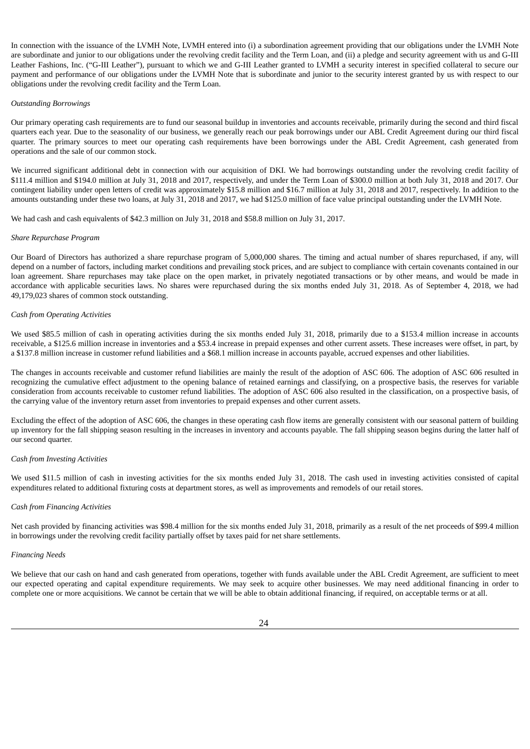In connection with the issuance of the LVMH Note, LVMH entered into (i) a subordination agreement providing that our obligations under the LVMH Note are subordinate and junior to our obligations under the revolving credit facility and the Term Loan, and (ii) a pledge and security agreement with us and G-III Leather Fashions, Inc. ("G-III Leather"), pursuant to which we and G-III Leather granted to LVMH a security interest in specified collateral to secure our payment and performance of our obligations under the LVMH Note that is subordinate and junior to the security interest granted by us with respect to our obligations under the revolving credit facility and the Term Loan.

#### *Outstanding Borrowings*

Our primary operating cash requirements are to fund our seasonal buildup in inventories and accounts receivable, primarily during the second and third fiscal quarters each year. Due to the seasonality of our business, we generally reach our peak borrowings under our ABL Credit Agreement during our third fiscal quarter. The primary sources to meet our operating cash requirements have been borrowings under the ABL Credit Agreement, cash generated from operations and the sale of our common stock.

We incurred significant additional debt in connection with our acquisition of DKI. We had borrowings outstanding under the revolving credit facility of \$111.4 million and \$194.0 million at July 31, 2018 and 2017, respectively, and under the Term Loan of \$300.0 million at both July 31, 2018 and 2017. Our contingent liability under open letters of credit was approximately \$15.8 million and \$16.7 million at July 31, 2018 and 2017, respectively. In addition to the amounts outstanding under these two loans, at July 31, 2018 and 2017, we had \$125.0 million of face value principal outstanding under the LVMH Note.

We had cash and cash equivalents of \$42.3 million on July 31, 2018 and \$58.8 million on July 31, 2017.

#### *Share Repurchase Program*

Our Board of Directors has authorized a share repurchase program of 5,000,000 shares. The timing and actual number of shares repurchased, if any, will depend on a number of factors, including market conditions and prevailing stock prices, and are subject to compliance with certain covenants contained in our loan agreement. Share repurchases may take place on the open market, in privately negotiated transactions or by other means, and would be made in accordance with applicable securities laws. No shares were repurchased during the six months ended July 31, 2018. As of September 4, 2018, we had 49,179,023 shares of common stock outstanding.

#### *Cash from Operating Activities*

We used \$85.5 million of cash in operating activities during the six months ended July 31, 2018, primarily due to a \$153.4 million increase in accounts receivable, a \$125.6 million increase in inventories and a \$53.4 increase in prepaid expenses and other current assets. These increases were offset, in part, by a \$137.8 million increase in customer refund liabilities and a \$68.1 million increase in accounts payable, accrued expenses and other liabilities.

The changes in accounts receivable and customer refund liabilities are mainly the result of the adoption of ASC 606. The adoption of ASC 606 resulted in recognizing the cumulative effect adjustment to the opening balance of retained earnings and classifying, on a prospective basis, the reserves for variable consideration from accounts receivable to customer refund liabilities. The adoption of ASC 606 also resulted in the classification, on a prospective basis, of the carrying value of the inventory return asset from inventories to prepaid expenses and other current assets.

Excluding the effect of the adoption of ASC 606, the changes in these operating cash flow items are generally consistent with our seasonal pattern of building up inventory for the fall shipping season resulting in the increases in inventory and accounts payable. The fall shipping season begins during the latter half of our second quarter.

#### *Cash from Investing Activities*

We used \$11.5 million of cash in investing activities for the six months ended July 31, 2018. The cash used in investing activities consisted of capital expenditures related to additional fixturing costs at department stores, as well as improvements and remodels of our retail stores.

#### *Cash from Financing Activities*

Net cash provided by financing activities was \$98.4 million for the six months ended July 31, 2018, primarily as a result of the net proceeds of \$99.4 million in borrowings under the revolving credit facility partially offset by taxes paid for net share settlements.

#### *Financing Needs*

We believe that our cash on hand and cash generated from operations, together with funds available under the ABL Credit Agreement, are sufficient to meet our expected operating and capital expenditure requirements. We may seek to acquire other businesses. We may need additional financing in order to complete one or more acquisitions. We cannot be certain that we will be able to obtain additional financing, if required, on acceptable terms or at all.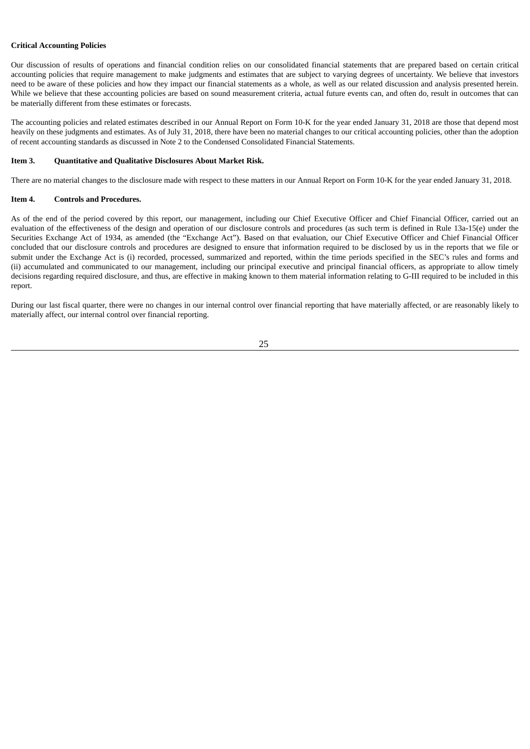#### **Critical Accounting Policies**

Our discussion of results of operations and financial condition relies on our consolidated financial statements that are prepared based on certain critical accounting policies that require management to make judgments and estimates that are subject to varying degrees of uncertainty. We believe that investors need to be aware of these policies and how they impact our financial statements as a whole, as well as our related discussion and analysis presented herein. While we believe that these accounting policies are based on sound measurement criteria, actual future events can, and often do, result in outcomes that can be materially different from these estimates or forecasts.

The accounting policies and related estimates described in our Annual Report on Form 10-K for the year ended January 31, 2018 are those that depend most heavily on these judgments and estimates. As of July 31, 2018, there have been no material changes to our critical accounting policies, other than the adoption of recent accounting standards as discussed in Note 2 to the Condensed Consolidated Financial Statements.

#### <span id="page-24-0"></span>**Item 3. Quantitative and Qualitative Disclosures About Market Risk.**

There are no material changes to the disclosure made with respect to these matters in our Annual Report on Form 10-K for the year ended January 31, 2018.

#### <span id="page-24-1"></span>**Item 4. Controls and Procedures.**

As of the end of the period covered by this report, our management, including our Chief Executive Officer and Chief Financial Officer, carried out an evaluation of the effectiveness of the design and operation of our disclosure controls and procedures (as such term is defined in Rule 13a-15(e) under the Securities Exchange Act of 1934, as amended (the "Exchange Act"). Based on that evaluation, our Chief Executive Officer and Chief Financial Officer concluded that our disclosure controls and procedures are designed to ensure that information required to be disclosed by us in the reports that we file or submit under the Exchange Act is (i) recorded, processed, summarized and reported, within the time periods specified in the SEC's rules and forms and (ii) accumulated and communicated to our management, including our principal executive and principal financial officers, as appropriate to allow timely decisions regarding required disclosure, and thus, are effective in making known to them material information relating to G-III required to be included in this report.

During our last fiscal quarter, there were no changes in our internal control over financial reporting that have materially affected, or are reasonably likely to materially affect, our internal control over financial reporting.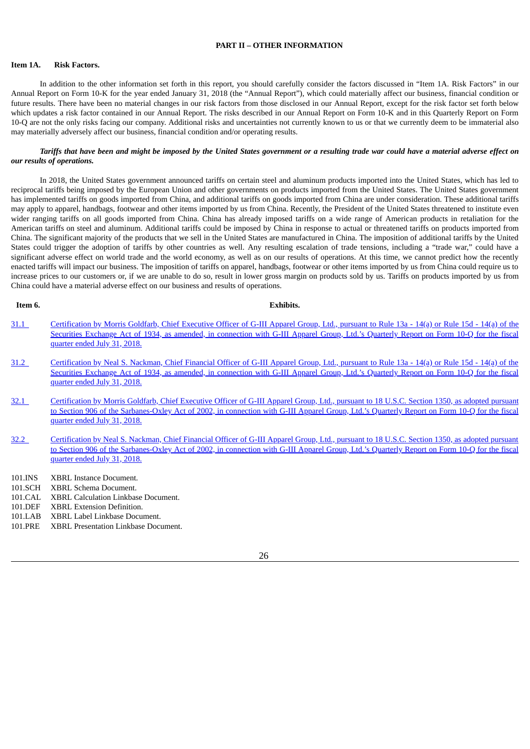#### **PART II – OTHER INFORMATION**

#### <span id="page-25-1"></span><span id="page-25-0"></span>**Item 1A. Risk Factors.**

In addition to the other information set forth in this report, you should carefully consider the factors discussed in "Item 1A. Risk Factors" in our Annual Report on Form 10-K for the year ended January 31, 2018 (the "Annual Report"), which could materially affect our business, financial condition or future results. There have been no material changes in our risk factors from those disclosed in our Annual Report, except for the risk factor set forth below which updates a risk factor contained in our Annual Report. The risks described in our Annual Report on Form 10-K and in this Quarterly Report on Form 10-Q are not the only risks facing our company. Additional risks and uncertainties not currently known to us or that we currently deem to be immaterial also may materially adversely affect our business, financial condition and/or operating results.

#### Tariffs that have been and might be imposed by the United States government or a resulting trade war could have a material adverse effect on *our results of operations.*

In 2018, the United States government announced tariffs on certain steel and aluminum products imported into the United States, which has led to reciprocal tariffs being imposed by the European Union and other governments on products imported from the United States. The United States government has implemented tariffs on goods imported from China, and additional tariffs on goods imported from China are under consideration. These additional tariffs may apply to apparel, handbags, footwear and other items imported by us from China. Recently, the President of the United States threatened to institute even wider ranging tariffs on all goods imported from China. China has already imposed tariffs on a wide range of American products in retaliation for the American tariffs on steel and aluminum. Additional tariffs could be imposed by China in response to actual or threatened tariffs on products imported from China. The significant majority of the products that we sell in the United States are manufactured in China. The imposition of additional tariffs by the United States could trigger the adoption of tariffs by other countries as well. Any resulting escalation of trade tensions, including a "trade war," could have a significant adverse effect on world trade and the world economy, as well as on our results of operations. At this time, we cannot predict how the recently enacted tariffs will impact our business. The imposition of tariffs on apparel, handbags, footwear or other items imported by us from China could require us to increase prices to our customers or, if we are unable to do so, result in lower gross margin on products sold by us. Tariffs on products imported by us from China could have a material adverse effect on our business and results of operations.

#### <span id="page-25-2"></span>**Item 6. Exhibits.**

- [31.1](#page-27-0) [Certification](#page-27-0) by Morris Goldfarb, Chief Executive Officer of G-III Apparel Group, Ltd., pursuant to Rule 13a 14(a) or Rule 15d 14(a) of the Securities Exchange Act of 1934, as amended, in connection with G-III Apparel Group, Ltd.'s Quarterly Report on Form 10-Q for the fiscal quarter ended July 31, 2018.
- [31.2](#page-28-0) [Certification](#page-28-0) by Neal S. Nackman, Chief Financial Officer of G-III Apparel Group, Ltd., pursuant to Rule 13a 14(a) or Rule 15d 14(a) of the Securities Exchange Act of 1934, as amended, in connection with G-III Apparel Group, Ltd.'s Quarterly Report on Form 10-Q for the fiscal quarter ended July 31, 2018.
- [32.1](#page-29-0) Certification by Morris Goldfarb, Chief Executive Officer of G-III Apparel Group, Ltd., pursuant to 18 U.S.C. Section 1350, as adopted pursuant to Section 906 of the [Sarbanes-Oxley](#page-29-0) Act of 2002, in connection with G-III Apparel Group, Ltd.'s Quarterly Report on Form 10-Q for the fiscal quarter ended July 31, 2018.
- [32.2](#page-30-0) Certification by Neal S. Nackman, Chief Financial Officer of G-III Apparel Group, Ltd., pursuant to 18 U.S.C. Section 1350, as adopted pursuant to Section 906 of the [Sarbanes-Oxley](#page-30-0) Act of 2002, in connection with G-III Apparel Group, Ltd.'s Quarterly Report on Form 10-Q for the fiscal quarter ended July 31, 2018.
- 101 INS XBRL Instance Document.
- 101.SCH XBRL Schema Document.
- 101.CAL XBRL Calculation Linkbase Document.
- 101.DEF XBRL Extension Definition.
- 101.LAB XBRL Label Linkbase Document.
- 101.PRE XBRL Presentation Linkbase Document.

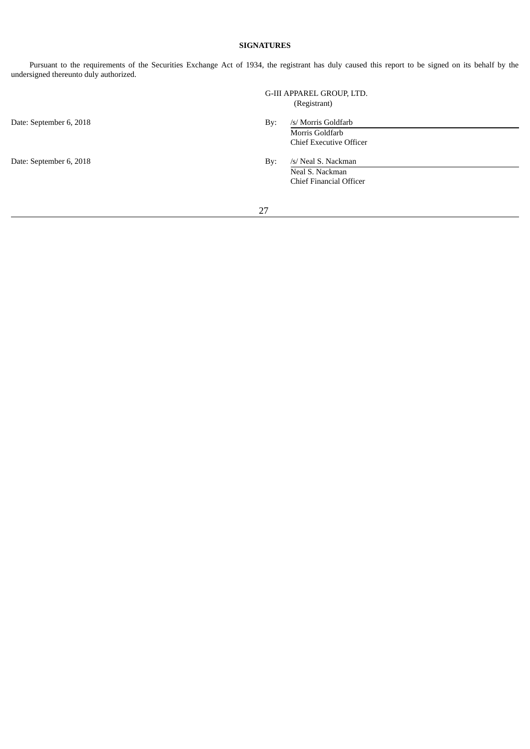### **SIGNATURES**

Pursuant to the requirements of the Securities Exchange Act of 1934, the registrant has duly caused this report to be signed on its behalf by the undersigned thereunto duly authorized.

|                         | G-III APPAREL GROUP, LTD.<br>(Registrant)                                       |  |
|-------------------------|---------------------------------------------------------------------------------|--|
| Date: September 6, 2018 | /s/ Morris Goldfarb<br>By:<br>Morris Goldfarb<br><b>Chief Executive Officer</b> |  |
| Date: September 6, 2018 | /s/ Neal S. Nackman<br>By:<br>Neal S. Nackman<br>Chief Financial Officer        |  |
|                         | 27                                                                              |  |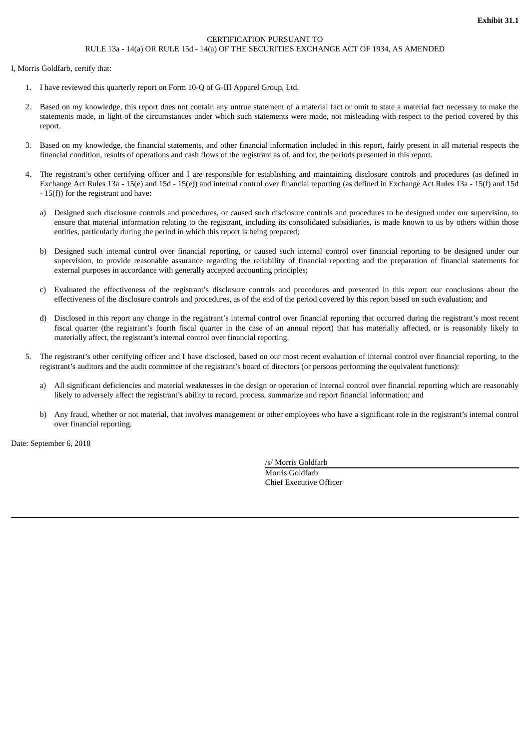#### CERTIFICATION PURSUANT TO RULE 13a - 14(a) OR RULE 15d - 14(a) OF THE SECURITIES EXCHANGE ACT OF 1934, AS AMENDED

<span id="page-27-0"></span>I, Morris Goldfarb, certify that:

- 1. I have reviewed this quarterly report on Form 10-Q of G-III Apparel Group, Ltd.
- 2. Based on my knowledge, this report does not contain any untrue statement of a material fact or omit to state a material fact necessary to make the statements made, in light of the circumstances under which such statements were made, not misleading with respect to the period covered by this report.
- 3. Based on my knowledge, the financial statements, and other financial information included in this report, fairly present in all material respects the financial condition, results of operations and cash flows of the registrant as of, and for, the periods presented in this report.
- 4. The registrant's other certifying officer and I are responsible for establishing and maintaining disclosure controls and procedures (as defined in Exchange Act Rules 13a - 15(e) and 15d - 15(e)) and internal control over financial reporting (as defined in Exchange Act Rules 13a - 15(f) and 15d - 15(f)) for the registrant and have:
	- a) Designed such disclosure controls and procedures, or caused such disclosure controls and procedures to be designed under our supervision, to ensure that material information relating to the registrant, including its consolidated subsidiaries, is made known to us by others within those entities, particularly during the period in which this report is being prepared;
	- b) Designed such internal control over financial reporting, or caused such internal control over financial reporting to be designed under our supervision, to provide reasonable assurance regarding the reliability of financial reporting and the preparation of financial statements for external purposes in accordance with generally accepted accounting principles;
	- c) Evaluated the effectiveness of the registrant's disclosure controls and procedures and presented in this report our conclusions about the effectiveness of the disclosure controls and procedures, as of the end of the period covered by this report based on such evaluation; and
	- d) Disclosed in this report any change in the registrant's internal control over financial reporting that occurred during the registrant's most recent fiscal quarter (the registrant's fourth fiscal quarter in the case of an annual report) that has materially affected, or is reasonably likely to materially affect, the registrant's internal control over financial reporting.
- 5. The registrant's other certifying officer and I have disclosed, based on our most recent evaluation of internal control over financial reporting, to the registrant's auditors and the audit committee of the registrant's board of directors (or persons performing the equivalent functions):
	- a) All significant deficiencies and material weaknesses in the design or operation of internal control over financial reporting which are reasonably likely to adversely affect the registrant's ability to record, process, summarize and report financial information; and
	- b) Any fraud, whether or not material, that involves management or other employees who have a significant role in the registrant's internal control over financial reporting.

Date: September 6, 2018

/s/ Morris Goldfarb Morris Goldfarb Chief Executive Officer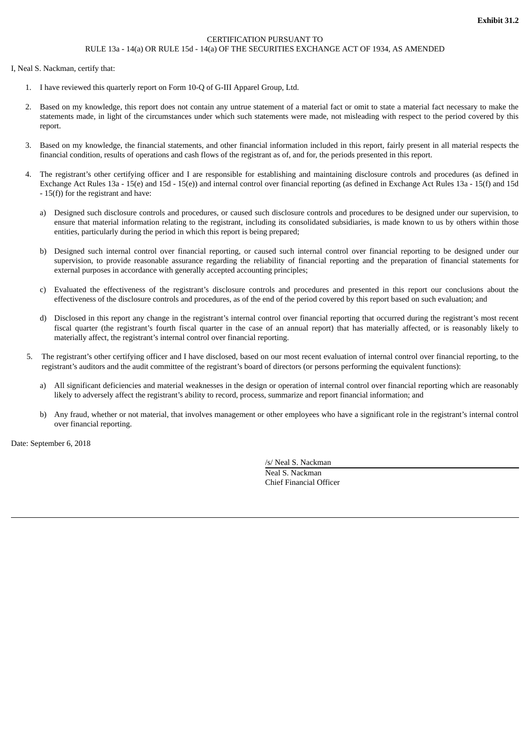### CERTIFICATION PURSUANT TO RULE 13a - 14(a) OR RULE 15d - 14(a) OF THE SECURITIES EXCHANGE ACT OF 1934, AS AMENDED

<span id="page-28-0"></span>I, Neal S. Nackman, certify that:

- 1. I have reviewed this quarterly report on Form 10-Q of G-III Apparel Group, Ltd.
- 2. Based on my knowledge, this report does not contain any untrue statement of a material fact or omit to state a material fact necessary to make the statements made, in light of the circumstances under which such statements were made, not misleading with respect to the period covered by this report.
- 3. Based on my knowledge, the financial statements, and other financial information included in this report, fairly present in all material respects the financial condition, results of operations and cash flows of the registrant as of, and for, the periods presented in this report.
- 4. The registrant's other certifying officer and I are responsible for establishing and maintaining disclosure controls and procedures (as defined in Exchange Act Rules 13a - 15(e) and 15d - 15(e)) and internal control over financial reporting (as defined in Exchange Act Rules 13a - 15(f) and 15d - 15(f)) for the registrant and have:
	- a) Designed such disclosure controls and procedures, or caused such disclosure controls and procedures to be designed under our supervision, to ensure that material information relating to the registrant, including its consolidated subsidiaries, is made known to us by others within those entities, particularly during the period in which this report is being prepared;
	- b) Designed such internal control over financial reporting, or caused such internal control over financial reporting to be designed under our supervision, to provide reasonable assurance regarding the reliability of financial reporting and the preparation of financial statements for external purposes in accordance with generally accepted accounting principles;
	- c) Evaluated the effectiveness of the registrant's disclosure controls and procedures and presented in this report our conclusions about the effectiveness of the disclosure controls and procedures, as of the end of the period covered by this report based on such evaluation; and
	- d) Disclosed in this report any change in the registrant's internal control over financial reporting that occurred during the registrant's most recent fiscal quarter (the registrant's fourth fiscal quarter in the case of an annual report) that has materially affected, or is reasonably likely to materially affect, the registrant's internal control over financial reporting.
- 5. The registrant's other certifying officer and I have disclosed, based on our most recent evaluation of internal control over financial reporting, to the registrant's auditors and the audit committee of the registrant's board of directors (or persons performing the equivalent functions):
	- a) All significant deficiencies and material weaknesses in the design or operation of internal control over financial reporting which are reasonably likely to adversely affect the registrant's ability to record, process, summarize and report financial information; and
	- b) Any fraud, whether or not material, that involves management or other employees who have a significant role in the registrant's internal control over financial reporting.

Date: September 6, 2018

/s/ Neal S. Nackman Neal S. Nackman Chief Financial Officer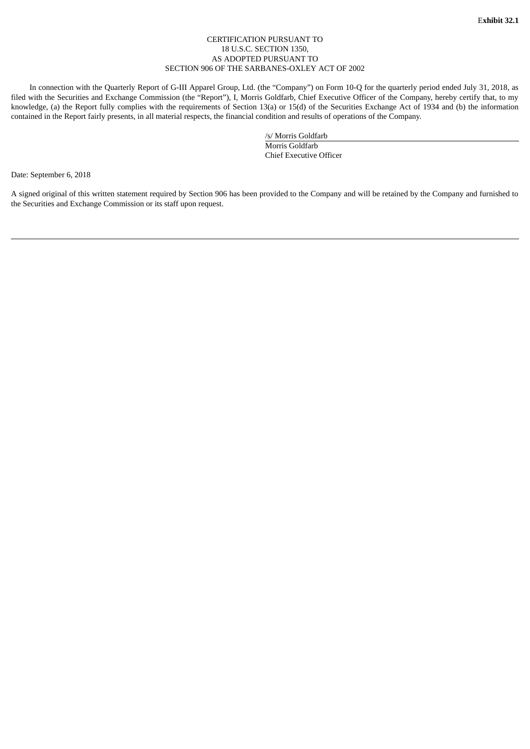#### CERTIFICATION PURSUANT TO 18 U.S.C. SECTION 1350, AS ADOPTED PURSUANT TO SECTION 906 OF THE SARBANES-OXLEY ACT OF 2002

<span id="page-29-0"></span>In connection with the Quarterly Report of G-III Apparel Group, Ltd. (the "Company") on Form 10-Q for the quarterly period ended July 31, 2018, as filed with the Securities and Exchange Commission (the "Report"), I, Morris Goldfarb, Chief Executive Officer of the Company, hereby certify that, to my knowledge, (a) the Report fully complies with the requirements of Section 13(a) or 15(d) of the Securities Exchange Act of 1934 and (b) the information contained in the Report fairly presents, in all material respects, the financial condition and results of operations of the Company.

> /s/ Morris Goldfarb Morris Goldfarb Chief Executive Officer

Date: September 6, 2018

A signed original of this written statement required by Section 906 has been provided to the Company and will be retained by the Company and furnished to the Securities and Exchange Commission or its staff upon request.